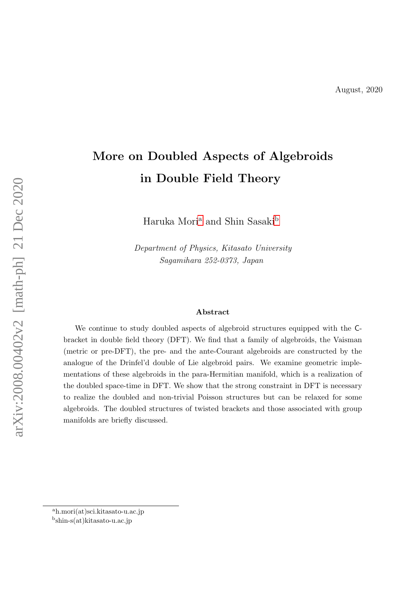# More on Doubled Aspects of Algebroids in Double Field Theory

H[a](#page-0-0)ruka Mori $\rm{a}$  and Shin Sasaki $\rm{^{b}}$  $\rm{^{b}}$  $\rm{^{b}}$ 

Department of Physics, Kitasato University Sagamihara 252-0373, Japan

#### Abstract

We continue to study doubled aspects of algebroid structures equipped with the Cbracket in double field theory (DFT). We find that a family of algebroids, the Vaisman (metric or pre-DFT), the pre- and the ante-Courant algebroids are constructed by the analogue of the Drinfel'd double of Lie algebroid pairs. We examine geometric implementations of these algebroids in the para-Hermitian manifold, which is a realization of the doubled space-time in DFT. We show that the strong constraint in DFT is necessary to realize the doubled and non-trivial Poisson structures but can be relaxed for some algebroids. The doubled structures of twisted brackets and those associated with group manifolds are briefly discussed.

<span id="page-0-0"></span><sup>a</sup>h.mori(at)sci.kitasato-u.ac.jp

<span id="page-0-1"></span>b shin-s(at)kitasato-u.ac.jp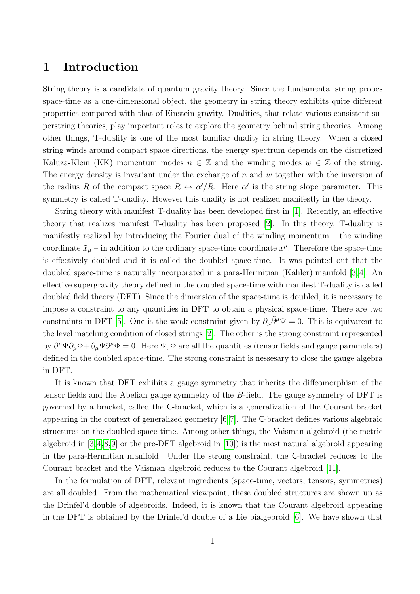## 1 Introduction

String theory is a candidate of quantum gravity theory. Since the fundamental string probes space-time as a one-dimensional object, the geometry in string theory exhibits quite different properties compared with that of Einstein gravity. Dualities, that relate various consistent superstring theories, play important roles to explore the geometry behind string theories. Among other things, T-duality is one of the most familiar duality in string theory. When a closed string winds around compact space directions, the energy spectrum depends on the discretized Kaluza-Klein (KK) momentum modes  $n \in \mathbb{Z}$  and the winding modes  $w \in \mathbb{Z}$  of the string. The energy density is invariant under the exchange of  $n$  and  $w$  together with the inversion of the radius R of the compact space  $R \leftrightarrow \alpha'/R$ . Here  $\alpha'$  is the string slope parameter. This symmetry is called T-duality. However this duality is not realized manifestly in the theory.

String theory with manifest T-duality has been developed first in [\[1\]](#page-22-0). Recently, an effective theory that realizes manifest T-duality has been proposed [\[2\]](#page-22-1). In this theory, T-duality is manifestly realized by introducing the Fourier dual of the winding momentum – the winding coordinate  $\tilde{x}_{\mu}$  – in addition to the ordinary space-time coordinate  $x^{\mu}$ . Therefore the space-time is effectively doubled and it is called the doubled space-time. It was pointed out that the doubled space-time is naturally incorporated in a para-Hermitian (Kähler) manifold  $[3, 4]$  $[3, 4]$ . An effective supergravity theory defined in the doubled space-time with manifest T-duality is called doubled field theory (DFT). Since the dimension of the space-time is doubled, it is necessary to impose a constraint to any quantities in DFT to obtain a physical space-time. There are two constraints in DFT [\[5\]](#page-22-4). One is the weak constraint given by  $\partial_{\mu} \tilde{\partial}^{\mu} \Psi = 0$ . This is equivarent to the level matching condition of closed strings [\[2\]](#page-22-1). The other is the strong constraint represented by  $\partial^{\mu}\Psi\partial_{\mu}\Phi+\partial_{\mu}\Psi\partial^{\mu}\Phi=0$ . Here  $\Psi, \Phi$  are all the quantities (tensor fields and gauge parameters) defined in the doubled space-time. The strong constraint is nessesary to close the gauge algebra in DFT.

It is known that DFT exhibits a gauge symmetry that inherits the diffeomorphism of the tensor fields and the Abelian gauge symmetry of the B-field. The gauge symmetry of DFT is governed by a bracket, called the C-bracket, which is a generalization of the Courant bracket appearing in the context of generalized geometry [\[6,](#page-22-5)[7\]](#page-23-0). The C-bracket defines various algebraic structures on the doubled space-time. Among other things, the Vaisman algebroid (the metric algebroid in [\[3,](#page-22-2)[4,](#page-22-3)[8,](#page-23-1)[9\]](#page-23-2) or the pre-DFT algebroid in [\[10\]](#page-23-3)) is the most natural algebroid appearing in the para-Hermitian manifold. Under the strong constraint, the C-bracket reduces to the Courant bracket and the Vaisman algebroid reduces to the Courant algebroid [\[11\]](#page-23-4).

In the formulation of DFT, relevant ingredients (space-time, vectors, tensors, symmetries) are all doubled. From the mathematical viewpoint, these doubled structures are shown up as the Drinfel'd double of algebroids. Indeed, it is known that the Courant algebroid appearing in the DFT is obtained by the Drinfel'd double of a Lie bialgebroid [\[6\]](#page-22-5). We have shown that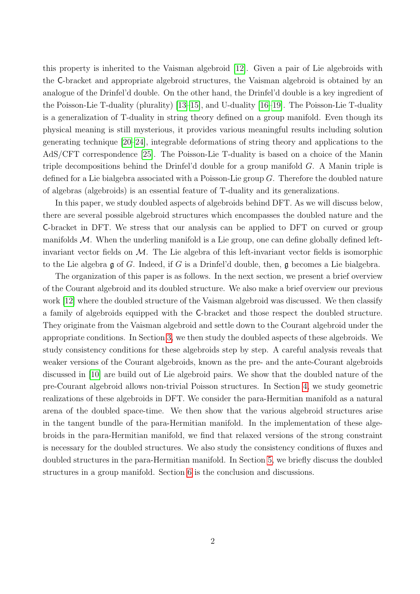this property is inherited to the Vaisman algebroid [\[12\]](#page-23-5). Given a pair of Lie algebroids with the C-bracket and appropriate algebroid structures, the Vaisman algebroid is obtained by an analogue of the Drinfel'd double. On the other hand, the Drinfel'd double is a key ingredient of the Poisson-Lie T-duality (plurality) [\[13–](#page-23-6)[15\]](#page-23-7), and U-duality [\[16](#page-23-8)[–19\]](#page-23-9). The Poisson-Lie T-duality is a generalization of T-duality in string theory defined on a group manifold. Even though its physical meaning is still mysterious, it provides various meaningful results including solution generating technique [\[20–](#page-23-10)[24\]](#page-24-0), integrable deformations of string theory and applications to the AdS/CFT correspondence [\[25\]](#page-24-1). The Poisson-Lie T-duality is based on a choice of the Manin triple decompositions behind the Drinfel'd double for a group manifold  $G$ . A Manin triple is defined for a Lie bialgebra associated with a Poisson-Lie group  $G$ . Therefore the doubled nature of algebras (algebroids) is an essential feature of T-duality and its generalizations.

In this paper, we study doubled aspects of algebroids behind DFT. As we will discuss below, there are several possible algebroid structures which encompasses the doubled nature and the C-bracket in DFT. We stress that our analysis can be applied to DFT on curved or group manifolds  $M$ . When the underling manifold is a Lie group, one can define globally defined leftinvariant vector fields on  $M$ . The Lie algebra of this left-invariant vector fields is isomorphic to the Lie algebra  $\mathfrak g$  of G. Indeed, if G is a Drinfel'd double, then,  $\mathfrak g$  becomes a Lie bialgebra.

The organization of this paper is as follows. In the next section, we present a brief overview of the Courant algebroid and its doubled structure. We also make a brief overview our previous work [\[12\]](#page-23-5) where the doubled structure of the Vaisman algebroid was discussed. We then classify a family of algebroids equipped with the C-bracket and those respect the doubled structure. They originate from the Vaisman algebroid and settle down to the Courant algebroid under the appropriate conditions. In Section [3,](#page-8-0) we then study the doubled aspects of these algebroids. We study consistency conditions for these algebroids step by step. A careful analysis reveals that weaker versions of the Courant algebroids, known as the pre- and the ante-Courant algebroids discussed in [\[10\]](#page-23-3) are build out of Lie algebroid pairs. We show that the doubled nature of the pre-Courant algebroid allows non-trivial Poisson structures. In Section [4,](#page-11-0) we study geometric realizations of these algebroids in DFT. We consider the para-Hermitian manifold as a natural arena of the doubled space-time. We then show that the various algebroid structures arise in the tangent bundle of the para-Hermitian manifold. In the implementation of these algebroids in the para-Hermitian manifold, we find that relaxed versions of the strong constraint is necessary for the doubled structures. We also study the consistency conditions of fluxes and doubled structures in the para-Hermitian manifold. In Section [5,](#page-19-0) we briefly discuss the doubled structures in a group manifold. Section [6](#page-20-0) is the conclusion and discussions.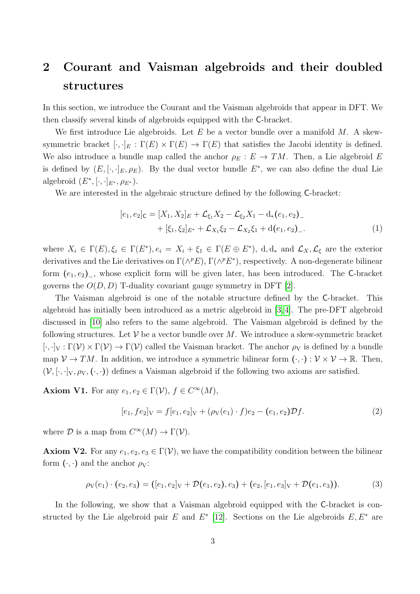## 2 Courant and Vaisman algebroids and their doubled structures

In this section, we introduce the Courant and the Vaisman algebroids that appear in DFT. We then classify several kinds of algebroids equipped with the C-bracket.

We first introduce Lie algebroids. Let E be a vector bundle over a manifold  $M$ . A skewsymmetric bracket  $[\cdot,\cdot]_E : \Gamma(E) \times \Gamma(E) \to \Gamma(E)$  that satisfies the Jacobi identity is defined. We also introduce a bundle map called the anchor  $\rho_E : E \to TM$ . Then, a Lie algebroid E is defined by  $(E, [\cdot, \cdot]_E, \rho_E)$ . By the dual vector bundle  $E^*$ , we can also define the dual Lie algebroid  $(E^*, [\cdot, \cdot]_{E^*}, \rho_{E^*}).$ 

We are interested in the algebraic structure defined by the following C-bracket:

<span id="page-3-1"></span>
$$
[e_1, e_2]_{\mathsf{C}} = [X_1, X_2]_E + \mathcal{L}_{\xi_1} X_2 - \mathcal{L}_{\xi_2} X_1 - \mathbf{d}_*(e_1, e_2)_{-} + [\xi_1, \xi_2]_{E^*} + \mathcal{L}_{X_1} \xi_2 - \mathcal{L}_{X_2} \xi_1 + \mathbf{d}(e_1, e_2)_{-}.
$$
\n(1)

where  $X_i \in \Gamma(E), \xi_i \in \Gamma(E^*), e_i = X_i + \xi_1 \in \Gamma(E \oplus E^*), d, d_*$  and  $\mathcal{L}_X, \mathcal{L}_\xi$  are the exterior derivatives and the Lie derivatives on  $\Gamma(\wedge^p E)$ ,  $\Gamma(\wedge^p E^*)$ , respectively. A non-degenerate bilinear form  $(e_1, e_2)$ <sub>-</sub>, whose explicit form will be given later, has been introduced. The C-bracket governs the  $O(D, D)$  T-duality covariant gauge symmetry in DFT [\[2\]](#page-22-1).

The Vaisman algebroid is one of the notable structure defined by the C-bracket. This algebroid has initially been introduced as a metric algebroid in [\[3,](#page-22-2) [4\]](#page-22-3). The pre-DFT algebroid discussed in [\[10\]](#page-23-3) also refers to the same algebroid. The Vaisman algebroid is defined by the following structures. Let  $V$  be a vector bundle over M. We introduce a skew-symmetric bracket  $[\cdot,\cdot]_V : \Gamma(\mathcal{V}) \times \Gamma(\mathcal{V}) \to \Gamma(\mathcal{V})$  called the Vaisman bracket. The anchor  $\rho_V$  is defined by a bundle map  $V \to TM$ . In addition, we introduce a symmetric bilinear form  $(\cdot, \cdot): V \times V \to \mathbb{R}$ . Then,  $(V, [\cdot, \cdot]_V, \rho_V, (\cdot, \cdot))$  defines a Vaisman algebroid if the following two axioms are satisfied.

**Axiom V1.** For any  $e_1, e_2 \in \Gamma(\mathcal{V}), f \in C^{\infty}(M)$ ,

<span id="page-3-2"></span><span id="page-3-0"></span>
$$
[e_1, fe_2]_V = f[e_1, e_2]_V + (\rho_V(e_1) \cdot f)e_2 - (e_1, e_2)\mathcal{D}f. \tag{2}
$$

where  $\mathcal D$  is a map from  $C^{\infty}(M) \to \Gamma(\mathcal V)$ .

**Axiom V2.** For any  $e_1, e_2, e_3 \in \Gamma(\mathcal{V})$ , we have the compatibility condition between the bilinear form  $(\cdot, \cdot)$  and the anchor  $\rho_V$ :

$$
\rho_V(e_1) \cdot (e_2, e_3) = ([e_1, e_2]_V + \mathcal{D}(e_1, e_2), e_3) + (e_2, [e_1, e_3]_V + \mathcal{D}(e_1, e_3)).
$$
\n(3)

In the following, we show that a Vaisman algebroid equipped with the C-bracket is constructed by the Lie algebroid pair E and  $E^*$  [\[12\]](#page-23-5). Sections on the Lie algebroids  $E, E^*$  are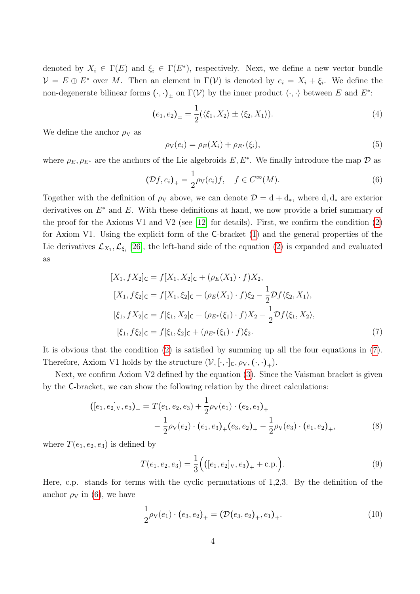denoted by  $X_i \in \Gamma(E)$  and  $\xi_i \in \Gamma(E^*)$ , respectively. Next, we define a new vector bundle  $\mathcal{V} = E \oplus E^*$  over M. Then an element in  $\Gamma(\mathcal{V})$  is denoted by  $e_i = X_i + \xi_i$ . We define the non-degenerate bilinear forms  $(\cdot, \cdot)_\pm$  on  $\Gamma(\mathcal{V})$  by the inner product  $\langle \cdot, \cdot \rangle$  between E and  $E^*$ :

$$
(e_1, e_2)_{\pm} = \frac{1}{2} (\langle \xi_1, X_2 \rangle \pm \langle \xi_2, X_1 \rangle).
$$
 (4)

We define the anchor  $\rho_V$  as

$$
\rho_V(e_i) = \rho_E(X_i) + \rho_{E^*}(\xi_i),\tag{5}
$$

where  $\rho_E, \rho_{E^*}$  are the anchors of the Lie algebroids  $E, E^*$ . We finally introduce the map  $\mathcal D$  as

<span id="page-4-1"></span>
$$
(\mathcal{D}f, e_i)_+ = \frac{1}{2}\rho_V(e_i)f, \quad f \in C^\infty(M). \tag{6}
$$

Together with the definition of  $\rho_V$  above, we can denote  $\mathcal{D} = d + d_*$ , where d,  $d_*$  are exterior derivatives on  $E^*$  and  $E$ . With these definitions at hand, we now provide a brief summary of the proof for the Axioms V1 and V2 (see [\[12\]](#page-23-5) for details). First, we confirm the condition  $(2)$ for Axiom V1. Using the explicit form of the C-bracket [\(1\)](#page-3-1) and the general properties of the Lie derivatives  $\mathcal{L}_{X_1}, \mathcal{L}_{\xi_i}$  [\[26\]](#page-24-2), the left-hand side of the equation [\(2\)](#page-3-0) is expanded and evaluated as

<span id="page-4-0"></span>
$$
[X_1, fX_2]_C = f[X_1, X_2]_C + (\rho_E(X_1) \cdot f)X_2,
$$
  
\n
$$
[X_1, f\xi_2]_C = f[X_1, \xi_2]_C + (\rho_E(X_1) \cdot f)\xi_2 - \frac{1}{2}\mathcal{D}f\langle\xi_2, X_1\rangle,
$$
  
\n
$$
[\xi_1, fX_2]_C = f[\xi_1, X_2]_C + (\rho_{E^*}(\xi_1) \cdot f)X_2 - \frac{1}{2}\mathcal{D}f\langle\xi_1, X_2\rangle,
$$
  
\n
$$
[\xi_1, f\xi_2]_C = f[\xi_1, \xi_2]_C + (\rho_{E^*}(\xi_1) \cdot f)\xi_2.
$$
\n(7)

It is obvious that the condition [\(2\)](#page-3-0) is satisfied by summing up all the four equations in [\(7\)](#page-4-0). Therefore, Axiom V1 holds by the structure  $(\mathcal{V}, [\cdot, \cdot]_C, \rho_V, (\cdot, \cdot)_+$ .

Next, we confirm Axiom V2 defined by the equation [\(3\)](#page-3-2). Since the Vaisman bracket is given by the C-bracket, we can show the following relation by the direct calculations:

$$
([e_1, e_2]_V, e_3)_+ = T(e_1, e_2, e_3) + \frac{1}{2}\rho_V(e_1) \cdot (e_2, e_3)_+ - \frac{1}{2}\rho_V(e_2) \cdot (e_1, e_3)_+ (e_3, e_2)_+ - \frac{1}{2}\rho_V(e_3) \cdot (e_1, e_2)_+,
$$
\n(8)

where  $T(e_1, e_2, e_3)$  is defined by

$$
T(e_1, e_2, e_3) = \frac{1}{3} (([e_1, e_2]_V, e_3)_+ + \text{c.p.}).
$$
\n(9)

Here, c.p. stands for terms with the cyclic permutations of 1,2,3. By the definition of the anchor  $\rho_V$  in [\(6\)](#page-4-1), we have

$$
\frac{1}{2}\rho_V(e_1) \cdot (e_3, e_2)_+ = (\mathcal{D}(e_3, e_2)_+, e_1)_+.
$$
\n(10)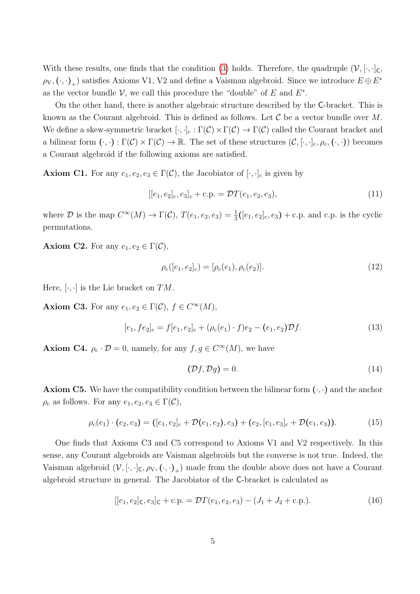With these results, one finds that the condition [\(3\)](#page-3-2) holds. Therefore, the quadruple  $(\mathcal{V}, \cdot, \cdot]_C$ ,  $(\rho_V, (\cdot, \cdot)_+)$  satisfies Axioms V1, V2 and define a Vaisman algebroid. Since we introduce  $E \oplus E^*$ as the vector bundle  $\mathcal{V}$ , we call this procedure the "double" of E and  $E^*$ .

On the other hand, there is another algebraic structure described by the C-bracket. This is known as the Courant algebroid. This is defined as follows. Let  $\mathcal C$  be a vector bundle over  $M$ . We define a skew-symmetric bracket  $[\cdot,\cdot]_c : \Gamma(\mathcal{C}) \times \Gamma(\mathcal{C}) \to \Gamma(\mathcal{C})$  called the Courant bracket and a bilinear form  $(\cdot, \cdot) : \Gamma(\mathcal{C}) \times \Gamma(\mathcal{C}) \to \mathbb{R}$ . The set of these structures  $(\mathcal{C}, [\cdot, \cdot]_c, \rho_c, (\cdot, \cdot))$  becomes a Courant algebroid if the following axioms are satisfied.

**Axiom C1.** For any  $e_1, e_2, e_3 \in \Gamma(\mathcal{C})$ , the Jacobiator of  $[\cdot, \cdot]_c$  is given by

<span id="page-5-2"></span>
$$
[[e_1, e_2]_c, e_3]_c + c.p. = \mathcal{D}T(e_1, e_2, e_3), \tag{11}
$$

where D is the map  $C^{\infty}(M) \to \Gamma(\mathcal{C}), T(e_1, e_2, e_3) = \frac{1}{3}([e_1, e_2]_c, e_3) + c.p.$  and c.p. is the cyclic permutations.

**Axiom C2.** For any  $e_1, e_2 \in \Gamma(\mathcal{C}),$ 

<span id="page-5-1"></span>
$$
\rho_{\rm c}([e_1, e_2]_{\rm c}) = [\rho_{\rm c}(e_1), \rho_{\rm c}(e_2)]. \tag{12}
$$

Here,  $[\cdot, \cdot]$  is the Lie bracket on  $TM$ .

**Axiom C3.** For any  $e_1, e_2 \in \Gamma(\mathcal{C}), f \in C^{\infty}(M)$ ,

$$
[e_1, fe_2]_c = f[e_1, e_2]_c + (\rho_c(e_1) \cdot f)e_2 - (e_1, e_2)\mathcal{D}f. \tag{13}
$$

**Axiom C4.**  $\rho_c \cdot \mathcal{D} = 0$ , namely, for any  $f, g \in C^{\infty}(M)$ , we have

<span id="page-5-0"></span>
$$
(\mathcal{D}f, \mathcal{D}g) = 0.\tag{14}
$$

**Axiom C5.** We have the compatibility condition between the bilinear form  $(\cdot, \cdot)$  and the anchor  $\rho_c$  as follows. For any  $e_1, e_2, e_3 \in \Gamma(\mathcal{C}),$ 

$$
\rho_{\rm c}(e_1) \cdot (e_2, e_3) = ([e_1, e_2]_{\rm c} + \mathcal{D}(e_1, e_2), e_3) + (e_2, [e_1, e_3]_{\rm c} + \mathcal{D}(e_1, e_3)). \tag{15}
$$

One finds that Axioms C3 and C5 correspond to Axioms V1 and V2 respectively. In this sense, any Courant algebroids are Vaisman algebroids but the converse is not true. Indeed, the Vaisman algebroid  $(\mathcal{V}, [\cdot,\cdot]_{\mathsf{C}}, \rho_{\mathsf{V}}, (\cdot,\cdot)_{+})$  made from the double above does not have a Courant algebroid structure in general. The Jacobiator of the C-bracket is calculated as

$$
[[e_1, e_2]_C, e_3]_C + c.p. = \mathcal{D}T(e_1, e_2, e_3) - (J_1 + J_2 + c.p.).
$$
\n(16)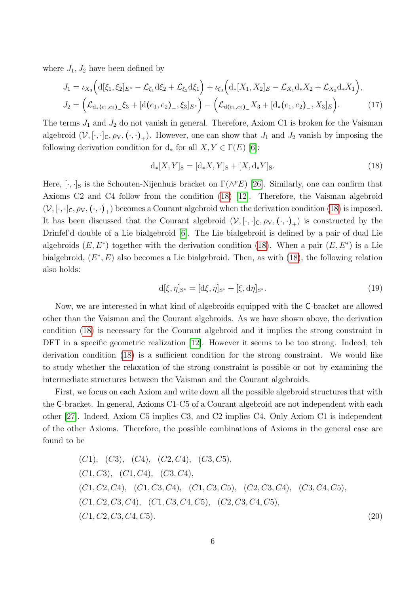where  $J_1, J_2$  have been defined by

$$
J_1 = \iota_{X_3} \Big( d[\xi_1, \xi_2]_{E^*} - \mathcal{L}_{\xi_1} d\xi_2 + \mathcal{L}_{\xi_2} d\xi_1 \Big) + \iota_{\xi_3} \Big( d_* [X_1, X_2]_E - \mathcal{L}_{X_1} d_* X_2 + \mathcal{L}_{X_2} d_* X_1 \Big),
$$
  
\n
$$
J_2 = \Big( \mathcal{L}_{d_*\left(e_1, e_2\right)} \xi_3 + [d(e_1, e_2)_{-}, \xi_3]_{E^*} \Big) - \Big( \mathcal{L}_{d(e_1, e_2)} \big[ X_3 + [d_*\left(e_1, e_2\right)_{-}, X_3]_E \Big).
$$
\n(17)

The terms  $J_1$  and  $J_2$  do not vanish in general. Therefore, Axiom C1 is broken for the Vaisman algebroid  $(V, [\cdot, \cdot]_C, \rho_V, (\cdot, \cdot)_+)$ . However, one can show that  $J_1$  and  $J_2$  vanish by imposing the following derivation condition for  $d_*$  for all  $X, Y \in \Gamma(E)$  [\[6\]](#page-22-5):

<span id="page-6-0"></span>
$$
d_*[X,Y]_S = [d_*X,Y]_S + [X,d_*Y]_S.
$$
\n(18)

Here,  $[\cdot, \cdot]_S$  is the Schouten-Nijenhuis bracket on  $\Gamma(\wedge^p E)$  [\[26\]](#page-24-2). Similarly, one can confirm that Axioms C2 and C4 follow from the condition [\(18\)](#page-6-0) [\[12\]](#page-23-5). Therefore, the Vaisman algebroid  $(V, [\cdot, \cdot]_C, \rho_V, (\cdot, \cdot)_+)$  becomes a Courant algebroid when the derivation condition [\(18\)](#page-6-0) is imposed. It has been discussed that the Courant algebroid  $(V, [\cdot, \cdot]_C, \rho_V, (\cdot, \cdot)_+)$  is constructed by the Drinfel'd double of a Lie bialgebroid [\[6\]](#page-22-5). The Lie bialgebroid is defined by a pair of dual Lie algebroids  $(E, E^*)$  together with the derivation condition [\(18\)](#page-6-0). When a pair  $(E, E^*)$  is a Lie bialgebroid,  $(E^*, E)$  also becomes a Lie bialgebroid. Then, as with  $(18)$ , the following relation also holds:

<span id="page-6-2"></span>
$$
d[\xi, \eta]_{S^*} = [d\xi, \eta]_{S^*} + [\xi, d\eta]_{S^*}.
$$
\n(19)

Now, we are interested in what kind of algebroids equipped with the C-bracket are allowed other than the Vaisman and the Courant algebroids. As we have shown above, the derivation condition [\(18\)](#page-6-0) is necessary for the Courant algebroid and it implies the strong constraint in DFT in a specific geometric realization [\[12\]](#page-23-5). However it seems to be too strong. Indeed, teh derivation condition [\(18\)](#page-6-0) is a sufficient condition for the strong constraint. We would like to study whether the relaxation of the strong constraint is possible or not by examining the intermediate structures between the Vaisman and the Courant algebroids.

First, we focus on each Axiom and write down all the possible algebroid structures that with the C-bracket. In general, Axioms C1-C5 of a Courant algebroid are not independent with each other [\[27\]](#page-24-3). Indeed, Axiom C5 implies C3, and C2 implies C4. Only Axiom C1 is independent of the other Axioms. Therefore, the possible combinations of Axioms in the general case are found to be

<span id="page-6-1"></span>(C1), (C3), (C4), (C2, C4), (C3, C5), (C1, C3), (C1, C4), (C3, C4), (C1, C2, C4), (C1, C3, C4), (C1, C3, C5), (C2, C3, C4), (C3, C4, C5), (C1, C2, C3, C4), (C1, C3, C4, C5), (C2, C3, C4, C5), (C1, C2, C3, C4, C5). (20)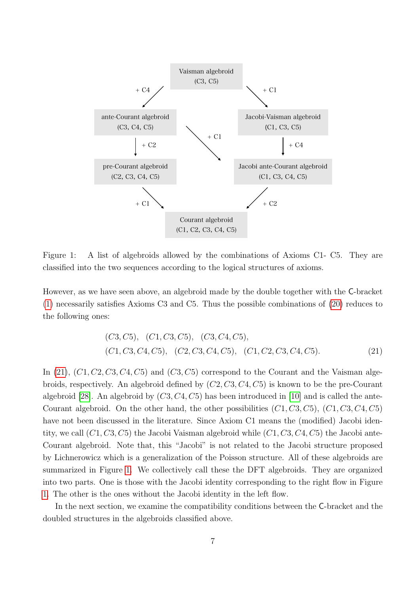

<span id="page-7-1"></span>Figure 1: A list of algebroids allowed by the combinations of Axioms C1- C5. They are classified into the two sequences according to the logical structures of axioms.

However, as we have seen above, an algebroid made by the double together with the C-bracket [\(1\)](#page-3-1) necessarily satisfies Axioms C3 and C5. Thus the possible combinations of [\(20\)](#page-6-1) reduces to the following ones:

<span id="page-7-0"></span>
$$
(C3, C5), (C1, C3, C5), (C3, C4, C5), (C1, C2, C3, C4, C5), (C1, C2, C3, C4, C5).
$$
\n
$$
(21)
$$

In  $(21)$ ,  $(C1, C2, C3, C4, C5)$  and  $(C3, C5)$  correspond to the Courant and the Vaisman algebroids, respectively. An algebroid defined by (C2, C3, C4, C5) is known to be the pre-Courant algebroid [\[28\]](#page-24-4). An algebroid by  $(C3, C4, C5)$  has been introduced in [\[10\]](#page-23-3) and is called the ante-Courant algebroid. On the other hand, the other possibilities  $(C1, C3, C5)$ ,  $(C1, C3, C4, C5)$ have not been discussed in the literature. Since Axiom C1 means the (modified) Jacobi identity, we call  $(C1, C3, C5)$  the Jacobi Vaisman algebroid while  $(C1, C3, C4, C5)$  the Jacobi ante-Courant algebroid. Note that, this "Jacobi" is not related to the Jacobi structure proposed by Lichnerowicz which is a generalization of the Poisson structure. All of these algebroids are summarized in Figure [1.](#page-7-1) We collectively call these the DFT algebroids. They are organized into two parts. One is those with the Jacobi identity corresponding to the right flow in Figure [1.](#page-7-1) The other is the ones without the Jacobi identity in the left flow.

In the next section, we examine the compatibility conditions between the C-bracket and the doubled structures in the algebroids classified above.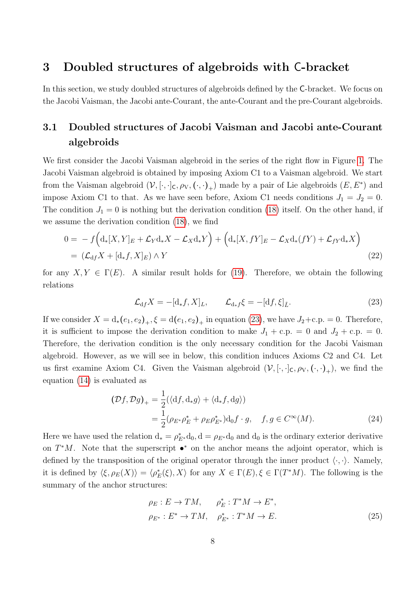### <span id="page-8-0"></span>3 Doubled structures of algebroids with C-bracket

In this section, we study doubled structures of algebroids defined by the C-bracket. We focus on the Jacobi Vaisman, the Jacobi ante-Courant, the ante-Courant and the pre-Courant algebroids.

## 3.1 Doubled structures of Jacobi Vaisman and Jacobi ante-Courant algebroids

We first consider the Jacobi Vaisman algebroid in the series of the right flow in Figure [1.](#page-7-1) The Jacobi Vaisman algebroid is obtained by imposing Axiom C1 to a Vaisman algebroid. We start from the Vaisman algebroid  $(\mathcal{V}, [\cdot,\cdot]_{\mathsf{C}}, \rho_{\mathsf{V}}, (\cdot,\cdot)_{+})$  made by a pair of Lie algebroids  $(E, E^*)$  and impose Axiom C1 to that. As we have seen before, Axiom C1 needs conditions  $J_1 = J_2 = 0$ . The condition  $J_1 = 0$  is nothing but the derivation condition [\(18\)](#page-6-0) itself. On the other hand, if we assume the derivation condition [\(18\)](#page-6-0), we find

$$
0 = -f\left(d_*[X,Y]_E + \mathcal{L}_Yd_*X - \mathcal{L}_Xd_*Y\right) + \left(d_*[X,fY]_E - \mathcal{L}_Xd_*(fY) + \mathcal{L}_{fY}d_*X\right)
$$
  
= 
$$
(\mathcal{L}_{df}X + [d_*f,X]_E) \wedge Y
$$
 (22)

for any  $X, Y \in \Gamma(E)$ . A similar result holds for [\(19\)](#page-6-2). Therefore, we obtain the following relations

<span id="page-8-1"></span>
$$
\mathcal{L}_{df}X = -[d_*f, X]_L, \qquad \mathcal{L}_{d_*f}\xi = -[df, \xi]_{\tilde{L}}.\tag{23}
$$

If we consider  $X = d_*(e_1, e_2)_+, \xi = d(e_1, e_2)_+$  in equation [\(23\)](#page-8-1), we have  $J_2 + c.p. = 0$ . Therefore, it is sufficient to impose the derivation condition to make  $J_1 + c.p. = 0$  and  $J_2 + c.p. = 0$ . Therefore, the derivation condition is the only necessary condition for the Jacobi Vaisman algebroid. However, as we will see in below, this condition induces Axioms C2 and C4. Let us first examine Axiom C4. Given the Vaisman algebroid  $(\mathcal{V}, [\cdot,\cdot]_{\mathsf{C}}, \rho_{\mathsf{V}}, (\cdot,\cdot)_{+})$ , we find the equation [\(14\)](#page-5-0) is evaluated as

$$
(\mathcal{D}f, \mathcal{D}g)_+ = \frac{1}{2} (\langle df, d_*g \rangle + \langle d_*f, dg \rangle)
$$
  
= 
$$
\frac{1}{2} (\rho_{E^*} \rho_E^* + \rho_E \rho_{E^*}^*) d_0 f \cdot g, \quad f, g \in C^\infty(M).
$$
 (24)

Here we have used the relation  $d_* = \rho_{E^*}^* d_0, d = \rho_{E^*} d_0$  and  $d_0$  is the ordinary exterior derivative on  $T^*M$ . Note that the superscript  $\bullet^*$  on the anchor means the adjoint operator, which is defined by the transposition of the original operator through the inner product  $\langle \cdot, \cdot \rangle$ . Namely, it is defined by  $\langle \xi, \rho_E(X) \rangle = \langle \rho_E^*(\xi), X \rangle$  for any  $X \in \Gamma(E), \xi \in \Gamma(T^*M)$ . The following is the summary of the anchor structures:

<span id="page-8-2"></span>
$$
\rho_E: E \to TM, \qquad \rho_E^*: T^*M \to E^*,
$$
  

$$
\rho_{E^*}: E^* \to TM, \quad \rho_{E^*}^*: T^*M \to E.
$$
 (25)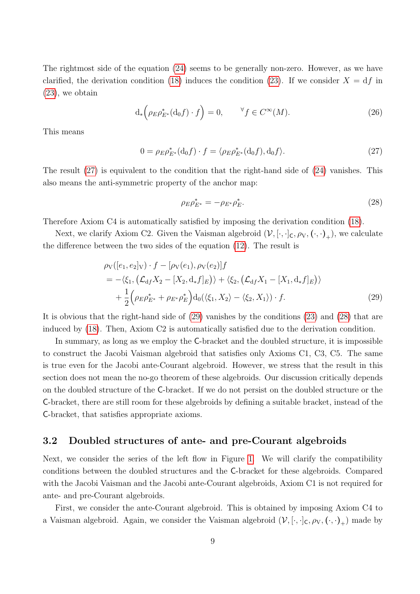The rightmost side of the equation [\(24\)](#page-8-2) seems to be generally non-zero. However, as we have clarified, the derivation condition [\(18\)](#page-6-0) induces the condition [\(23\)](#page-8-1). If we consider  $X = df$  in [\(23\)](#page-8-1), we obtain

$$
d_*\left(\rho_E \rho_{E^*}^*(d_0 f) \cdot f\right) = 0, \qquad \forall f \in C^\infty(M). \tag{26}
$$

This means

$$
0 = \rho_E \rho_{E^*}^*(\mathrm{d}_0 f) \cdot f = \langle \rho_E \rho_{E^*}^*(\mathrm{d}_0 f), \mathrm{d}_0 f \rangle. \tag{27}
$$

The result [\(27\)](#page-9-0) is equivalent to the condition that the right-hand side of [\(24\)](#page-8-2) vanishes. This also means the anti-symmetric property of the anchor map:

<span id="page-9-2"></span><span id="page-9-1"></span><span id="page-9-0"></span>
$$
\rho_E \rho_{E^*}^* = -\rho_{E^*} \rho_E^*.
$$
\n(28)

Therefore Axiom C4 is automatically satisfied by imposing the derivation condition [\(18\)](#page-6-0).

Next, we clarify Axiom C2. Given the Vaisman algebroid  $(\mathcal{V}, [\cdot,\cdot]_{\mathsf{C}}, \rho_{\mathsf{V}}, (\cdot,\cdot)_{+})$ , we calculate the difference between the two sides of the equation [\(12\)](#page-5-1). The result is

$$
\rho_V([e_1, e_2]_V) \cdot f - [\rho_V(e_1), \rho_V(e_2)]f \n= -\langle \xi_1, (\mathcal{L}_{df} X_2 - [X_2, d_* f]_E) \rangle + \langle \xi_2, (\mathcal{L}_{df} X_1 - [X_1, d_* f]_E) \rangle \n+ \frac{1}{2} (\rho_E \rho_{E^*}^* + \rho_{E^*} \rho_E^*) d_0(\langle \xi_1, X_2 \rangle - \langle \xi_2, X_1 \rangle) \cdot f.
$$
\n(29)

It is obvious that the right-hand side of [\(29\)](#page-9-1) vanishes by the conditions [\(23\)](#page-8-1) and [\(28\)](#page-9-2) that are induced by [\(18\)](#page-6-0). Then, Axiom C2 is automatically satisfied due to the derivation condition.

In summary, as long as we employ the C-bracket and the doubled structure, it is impossible to construct the Jacobi Vaisman algebroid that satisfies only Axioms C1, C3, C5. The same is true even for the Jacobi ante-Courant algebroid. However, we stress that the result in this section does not mean the no-go theorem of these algebroids. Our discussion critically depends on the doubled structure of the C-bracket. If we do not persist on the doubled structure or the C-bracket, there are still room for these algebroids by defining a suitable bracket, instead of the C-bracket, that satisfies appropriate axioms.

### 3.2 Doubled structures of ante- and pre-Courant algebroids

Next, we consider the series of the left flow in Figure [1.](#page-7-1) We will clarify the compatibility conditions between the doubled structures and the C-bracket for these algebroids. Compared with the Jacobi Vaisman and the Jacobi ante-Courant algebroids, Axiom C1 is not required for ante- and pre-Courant algebroids.

First, we consider the ante-Courant algebroid. This is obtained by imposing Axiom C4 to a Vaisman algebroid. Again, we consider the Vaisman algebroid  $(\mathcal{V}, [\cdot,\cdot]_C, \rho_V, (\cdot,\cdot)_+)$  made by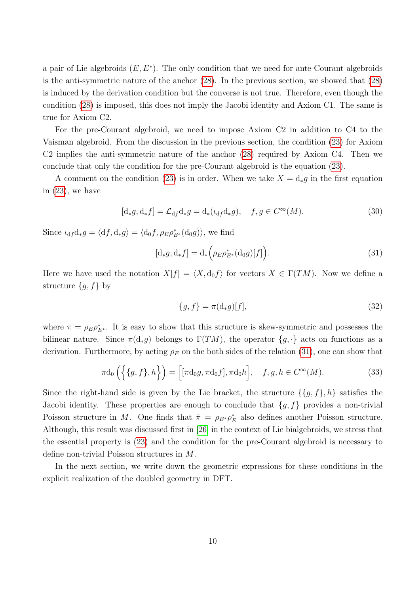a pair of Lie algebroids  $(E, E^*)$ . The only condition that we need for ante-Courant algebroids is the anti-symmetric nature of the anchor [\(28\)](#page-9-2). In the previous section, we showed that [\(28\)](#page-9-2) is induced by the derivation condition but the converse is not true. Therefore, even though the condition [\(28\)](#page-9-2) is imposed, this does not imply the Jacobi identity and Axiom C1. The same is true for Axiom C2.

For the pre-Courant algebroid, we need to impose Axiom C2 in addition to C4 to the Vaisman algebroid. From the discussion in the previous section, the condition [\(23\)](#page-8-1) for Axiom C2 implies the anti-symmetric nature of the anchor [\(28\)](#page-9-2) required by Axiom C4. Then we conclude that only the condition for the pre-Courant algebroid is the equation [\(23\)](#page-8-1).

A comment on the condition [\(23\)](#page-8-1) is in order. When we take  $X = d_*g$  in the first equation in [\(23\)](#page-8-1), we have

$$
[d_*g, d_*f] = \mathcal{L}_{df}d_*g = d_*(\iota_{df}d_*g), \quad f, g \in C^\infty(M). \tag{30}
$$

Since  $\iota_{df}d_*g = \langle df, d_*g \rangle = \langle d_0f, \rho_E\rho_{E^*}^*(d_0g) \rangle$ , we find

$$
[d_*g, d_*f] = d_* \left(\rho_E \rho_{E^*}^*(d_0g)[f]\right). \tag{31}
$$

Here we have used the notation  $X[f] = \langle X, d_0 f \rangle$  for vectors  $X \in \Gamma(TM)$ . Now we define a structure  ${g, f}$  by

<span id="page-10-0"></span>
$$
\{g, f\} = \pi(\mathbf{d}_*g)[f],\tag{32}
$$

where  $\pi = \rho_E \rho_{E^*}^*$ . It is easy to show that this structure is skew-symmetric and possesses the bilinear nature. Since  $\pi(d_*g)$  belongs to  $\Gamma(TM)$ , the operator  $\{g, \cdot\}$  acts on functions as a derivation. Furthermore, by acting  $\rho_E$  on the both sides of the relation [\(31\)](#page-10-0), one can show that

$$
\pi d_0\left(\{\{g,f\},h\}\right) = \left[\left[\pi d_0 g, \pi d_0 f\right], \pi d_0 h\right], \quad f, g, h \in C^\infty(M). \tag{33}
$$

Since the right-hand side is given by the Lie bracket, the structure  $\{\{g, f\}, h\}$  satisfies the Jacobi identity. These properties are enough to conclude that  $\{g, f\}$  provides a non-trivial Poisson structure in M. One finds that  $\bar{\pi} = \rho_{E^*} \rho_E^*$  also defines another Poisson structure. Although, this result was discussed first in [\[26\]](#page-24-2) in the context of Lie bialgebroids, we stress that the essential property is [\(23\)](#page-8-1) and the condition for the pre-Courant algebroid is necessary to define non-trivial Poisson structures in M.

In the next section, we write down the geometric expressions for these conditions in the explicit realization of the doubled geometry in DFT.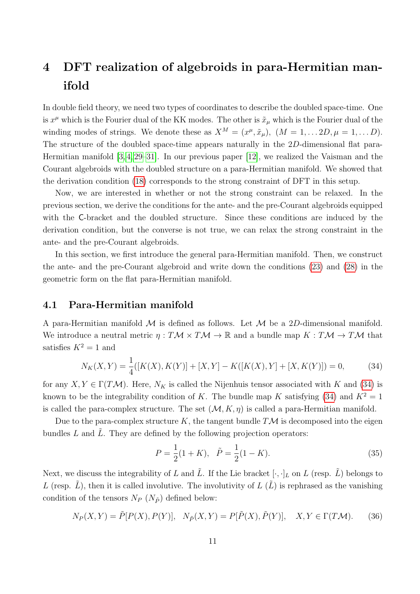## <span id="page-11-0"></span>4 DFT realization of algebroids in para-Hermitian manifold

In double field theory, we need two types of coordinates to describe the doubled space-time. One is  $x^{\mu}$  which is the Fourier dual of the KK modes. The other is  $\tilde{x}_{\mu}$  which is the Fourier dual of the winding modes of strings. We denote these as  $X^M = (x^{\mu}, \tilde{x}_{\mu}), (M = 1, \dots 2D, \mu = 1, \dots D).$ The structure of the doubled space-time appears naturally in the 2D-dimensional flat para-Hermitian manifold [\[3,](#page-22-2) [4,](#page-22-3) [29–](#page-24-5)[31\]](#page-24-6). In our previous paper [\[12\]](#page-23-5), we realized the Vaisman and the Courant algebroids with the doubled structure on a para-Hermitian manifold. We showed that the derivation condition [\(18\)](#page-6-0) corresponds to the strong constraint of DFT in this setup.

Now, we are interested in whether or not the strong constraint can be relaxed. In the previous section, we derive the conditions for the ante- and the pre-Courant algebroids equipped with the C-bracket and the doubled structure. Since these conditions are induced by the derivation condition, but the converse is not true, we can relax the strong constraint in the ante- and the pre-Courant algebroids.

In this section, we first introduce the general para-Hermitian manifold. Then, we construct the ante- and the pre-Courant algebroid and write down the conditions [\(23\)](#page-8-1) and [\(28\)](#page-9-2) in the geometric form on the flat para-Hermitian manifold.

### 4.1 Para-Hermitian manifold

A para-Hermitian manifold  $M$  is defined as follows. Let  $M$  be a 2D-dimensional manifold. We introduce a neutral metric  $\eta: T\mathcal{M} \times T\mathcal{M} \to \mathbb{R}$  and a bundle map  $K: T\mathcal{M} \to T\mathcal{M}$  that satisfies  $K^2 = 1$  and

$$
N_K(X,Y) = \frac{1}{4}([K(X),K(Y)] + [X,Y] - K([K(X),Y] + [X,K(Y)]) = 0,
$$
\n(34)

for any  $X, Y \in \Gamma(TM)$ . Here,  $N_K$  is called the Nijenhuis tensor associated with K and [\(34\)](#page-11-1) is known to be the integrability condition of K. The bundle map K satisfying [\(34\)](#page-11-1) and  $K^2 = 1$ is called the para-complex structure. The set  $(\mathcal{M}, K, \eta)$  is called a para-Hermitian manifold.

Due to the para-complex structure K, the tangent bundle  $T\mathcal{M}$  is decomposed into the eigen bundles  $L$  and  $\tilde{L}$ . They are defined by the following projection operators:

<span id="page-11-1"></span>
$$
P = \frac{1}{2}(1+K), \quad \tilde{P} = \frac{1}{2}(1-K).
$$
\n(35)

Next, we discuss the integrability of L and  $\tilde{L}$ . If the Lie bracket  $[\cdot, \cdot]_L$  on L (resp.  $\tilde{L}$ ) belongs to L (resp.  $\tilde{L}$ ), then it is called involutive. The involutivity of  $L(\tilde{L})$  is rephrased as the vanishing condition of the tensors  $N_P$  ( $N_{\tilde{P}}$ ) defined below:

$$
N_P(X,Y) = \tilde{P}[P(X), P(Y)], \quad N_{\tilde{P}}(X,Y) = P[\tilde{P}(X), \tilde{P}(Y)], \quad X, Y \in \Gamma(T\mathcal{M}).\tag{36}
$$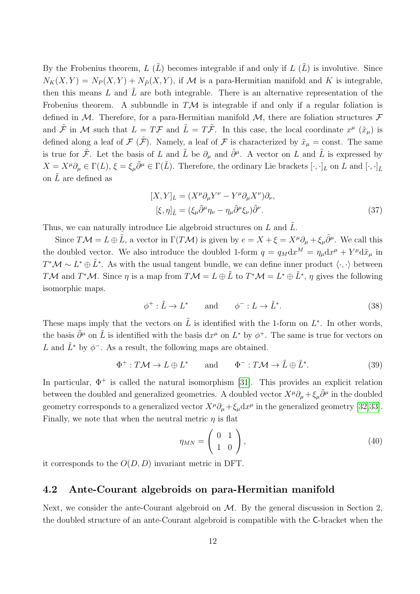By the Frobenius theorem,  $L(\tilde{L})$  becomes integrable if and only if  $L(\tilde{L})$  is involutive. Since  $N_K(X, Y) = N_P(X, Y) + N_{\tilde{P}}(X, Y)$ , if M is a para-Hermitian manifold and K is integrable, then this means  $L$  and  $L$  are both integrable. There is an alternative representation of the Frobenius theorem. A subbundle in  $T\mathcal{M}$  is integrable if and only if a regular foliation is defined in M. Therefore, for a para-Hermitian manifold M, there are foliation structures  $\mathcal F$ and  $\tilde{\mathcal{F}}$  in M such that  $L = T\mathcal{F}$  and  $\tilde{L} = T\tilde{\mathcal{F}}$ . In this case, the local coordinate  $x^{\mu}$   $(\tilde{x}_{\mu})$  is defined along a leaf of  $\mathcal F$  ( $\tilde{\mathcal F}$ ). Namely, a leaf of  $\mathcal F$  is characterized by  $\tilde{x}_\mu$  = const. The same is true for  $\tilde{\mathcal{F}}$ . Let the basis of L and  $\tilde{L}$  be  $\partial_{\mu}$  and  $\tilde{\partial}^{\mu}$ . A vector on L and  $\tilde{L}$  is expressed by  $X = X^{\mu} \partial_{\mu} \in \Gamma(L), \, \xi = \xi_{\mu} \tilde{\partial}^{\mu} \in \Gamma(\tilde{L}).$  Therefore, the ordinary Lie brackets  $[\cdot, \cdot]_L$  on L and  $[\cdot, \cdot]_{\tilde{L}}$ on  $\tilde{L}$  are defined as

<span id="page-12-1"></span>
$$
[X,Y]_L = (X^{\mu} \partial_{\mu} Y^{\nu} - Y^{\mu} \partial_{\mu} X^{\nu}) \partial_{\nu},
$$
  

$$
[\xi, \eta]_{\tilde{L}} = (\xi_{\mu} \tilde{\partial}^{\mu} \eta_{\nu} - \eta_{\mu} \tilde{\partial}^{\mu} \xi_{\nu}) \tilde{\partial}^{\nu}.
$$
 (37)

Thus, we can naturally introduce Lie algebroid structures on  $L$  and  $\tilde{L}$ .

Since  $T\mathcal{M} = L \oplus \tilde{L}$ , a vector in  $\Gamma(T\mathcal{M})$  is given by  $e = X + \xi = X^{\mu} \partial_{\mu} + \xi_{\mu} \tilde{\partial}^{\mu}$ . We call this the doubled vector. We also introduce the doubled 1-form  $q = q_M dx^M = \eta_\mu dx^\mu + Y^\mu d\tilde{x}_\mu$  in  $T^*\mathcal{M} \sim L^*\oplus \tilde{L}^*$ . As with the usual tangent bundle, we can define inner product  $\langle \cdot, \cdot \rangle$  between TM and T<sup>\*</sup>M. Since  $\eta$  is a map from  $T\mathcal{M} = L \oplus \tilde{L}$  to  $T^*\mathcal{M} = L^* \oplus \tilde{L}^*$ ,  $\eta$  gives the following isomorphic maps.

$$
\phi^+ : \tilde{L} \to L^* \qquad \text{and} \qquad \phi^- : L \to \tilde{L}^*.
$$
 (38)

These maps imply that the vectors on  $\tilde{L}$  is identified with the 1-form on  $L^*$ . In other words, the basis  $\tilde{\partial}^{\mu}$  on  $\tilde{L}$  is identified with the basis  $dx^{\mu}$  on  $L^*$  by  $\phi^+$ . The same is true for vectors on L and  $\tilde{L}^*$  by  $\phi^-$ . As a result, the following maps are obtained.

$$
\Phi^+ : T\mathcal{M} \to L \oplus L^* \qquad \text{and} \qquad \Phi^- : T\mathcal{M} \to \tilde{L} \oplus \tilde{L}^*.
$$
 (39)

In particular,  $\Phi^+$  is called the natural isomorphism [\[31\]](#page-24-6). This provides an explicit relation between the doubled and generalized geometries. A doubled vector  $X^{\mu}\partial_{\mu} + \xi_{\mu}\tilde{\partial}^{\mu}$  in the doubled geometry corresponds to a generalized vector  $X^{\mu}\partial_{\mu} + \xi_{\mu}dx^{\mu}$  in the generalized geometry [\[32,](#page-24-7)[33\]](#page-24-8). Finally, we note that when the neutral metric  $\eta$  is flat

<span id="page-12-0"></span>
$$
\eta_{MN} = \left(\begin{array}{cc} 0 & 1\\ 1 & 0 \end{array}\right),\tag{40}
$$

it corresponds to the  $O(D, D)$  invariant metric in DFT.

#### 4.2 Ante-Courant algebroids on para-Hermitian manifold

Next, we consider the ante-Courant algebroid on  $M$ . By the general discussion in Section 2, the doubled structure of an ante-Courant algebroid is compatible with the C-bracket when the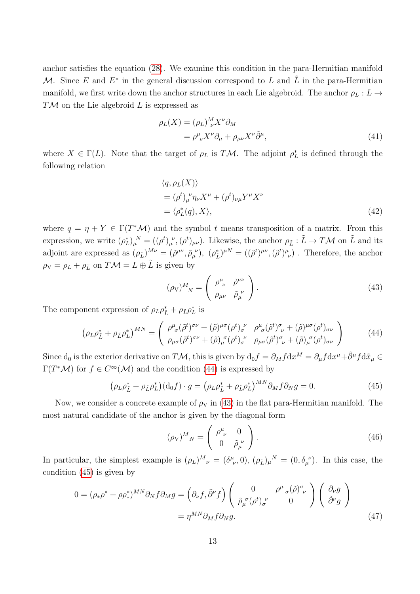anchor satisfies the equation [\(28\)](#page-9-2). We examine this condition in the para-Hermitian manifold M. Since E and  $E^*$  in the general discussion correspond to L and  $\tilde{L}$  in the para-Hermitian manifold, we first write down the anchor structures in each Lie algebroid. The anchor  $\rho_L : L \to$  $T\mathcal{M}$  on the Lie algebroid L is expressed as

$$
\rho_L(X) = (\rho_L)^M_{\nu} X^{\nu} \partial_M \n= \rho^{\mu}_{\nu} X^{\nu} \partial_{\mu} + \rho_{\mu\nu} X^{\nu} \tilde{\partial}^{\mu},
$$
\n(41)

where  $X \in \Gamma(L)$ . Note that the target of  $\rho_L$  is TM. The adjoint  $\rho_L^*$  is defined through the following relation

$$
\langle q, \rho_L(X) \rangle
$$
  
=  $(\rho^t)_{\mu}^{\nu} \eta_{\nu} X^{\mu} + (\rho^t)_{\nu\mu} Y^{\mu} X^{\nu}$   
=  $\langle \rho_L^*(q), X \rangle$ , (42)

where  $q = \eta + Y \in \Gamma(T^*\mathcal{M})$  and the symbol t means transposition of a matrix. From this expression, we write  $(\rho_L^*)_\mu^N = ((\rho^t)_\mu^{\nu}, (\rho^t)_{\mu\nu})$ . Likewise, the anchor  $\rho_{\tilde{L}} : \tilde{L} \to T\mathcal{M}$  on  $\tilde{L}$  and its adjoint are expressed as  $(\rho_{\tilde{L}})^{M\nu} = (\tilde{\rho}^{\mu\nu}, \tilde{\rho}_{\mu}^{\ \nu}), \ (\rho_{\tilde{L}}^*)^{\mu N} = ((\tilde{\rho}^t)^{\mu\nu}, (\tilde{\rho}^t)^{\mu}_{\ \nu})$ . Therefore, the anchor  $\rho_V = \rho_L + \rho_{\tilde{L}}$  on  $T\mathcal{M} = L \oplus \tilde{L}$  is given by

<span id="page-13-1"></span><span id="page-13-0"></span>
$$
(\rho_V)^M_{\ N} = \begin{pmatrix} \rho^{\mu}_{\ \nu} & \tilde{\rho}^{\mu\nu} \\ \rho_{\mu\nu} & \tilde{\rho}_{\mu}^{\ \nu} \end{pmatrix} . \tag{43}
$$

The component expression of  $\rho_L \rho_{\tilde{L}}^* + \rho_{\tilde{L}} \rho_L^*$  is

$$
\left(\rho_L \rho_L^* + \rho_{\tilde{L}} \rho_L^*\right)^{MN} = \begin{pmatrix} \rho_{\sigma}^{\mu}(\tilde{\rho}^t)^{\sigma\nu} + (\tilde{\rho})^{\mu\sigma}(\rho^t)_{\sigma}^{\nu} & \rho_{\sigma}^{\mu}(\tilde{\rho}^t)^{\sigma}_{\nu} + (\tilde{\rho})^{\mu\sigma}(\rho^t)_{\sigma\nu} \\ \rho_{\mu\sigma}(\tilde{\rho}^t)^{\sigma\nu} + (\tilde{\rho})_{\mu}^{\sigma}(\rho^t)_{\sigma}^{\nu} & \rho_{\mu\sigma}(\tilde{\rho}^t)^{\sigma}_{\nu} + (\tilde{\rho})_{\mu}^{\sigma}(\rho^t)_{\sigma\nu} \end{pmatrix}
$$
(44)

Since  $d_0$  is the exterior derivative on TM, this is given by  $d_0f = \partial_M f dx^M = \partial_\mu f dx^\mu + \tilde{\partial}^\mu f d\tilde{x}_\mu$  $\Gamma(T^*\mathcal{M})$  for  $f \in C^{\infty}(\mathcal{M})$  and the condition [\(44\)](#page-13-0) is expressed by

$$
\left(\rho_L \rho_{\tilde{L}}^* + \rho_{\tilde{L}} \rho_L^*\right) \left(\mathrm{d}_0 f\right) \cdot g = \left(\rho_L \rho_{\tilde{L}}^* + \rho_{\tilde{L}} \rho_L^*\right)^{MN} \partial_M f \partial_N g = 0. \tag{45}
$$

Now, we consider a concrete example of  $\rho_V$  in [\(43\)](#page-13-1) in the flat para-Hermitian manifold. The most natural candidate of the anchor is given by the diagonal form

<span id="page-13-4"></span><span id="page-13-3"></span><span id="page-13-2"></span>
$$
(\rho_V)^M{}_N = \left(\begin{array}{cc} \rho^\mu_{\ \nu} & 0 \\ 0 & \tilde{\rho}_\mu^{\ \nu} \end{array}\right). \tag{46}
$$

In particular, the simplest example is  $(\rho_L)^M{}_{\nu} = (\delta^{\mu}_{\ \nu}, 0), (\rho_{\tilde{L}})_{\mu}{}^{N} = (0, \delta^{\ \nu}_{\mu}).$  In this case, the condition [\(45\)](#page-13-2) is given by

$$
0 = (\rho_* \rho^* + \rho \rho_*^*)^{MN} \partial_N f \partial_M g = \left(\partial_\nu f, \tilde{\partial}^\nu f\right) \begin{pmatrix} 0 & \rho^\mu{}_\sigma (\tilde{\rho})^\sigma{}_\nu \\ \tilde{\rho}_\mu{}^\sigma (\rho^t)_{\sigma}{}^\nu & 0 \end{pmatrix} \begin{pmatrix} \partial_\nu g \\ \tilde{\partial}^\nu g \end{pmatrix}
$$

$$
= \eta^{MN} \partial_M f \partial_N g. \tag{47}
$$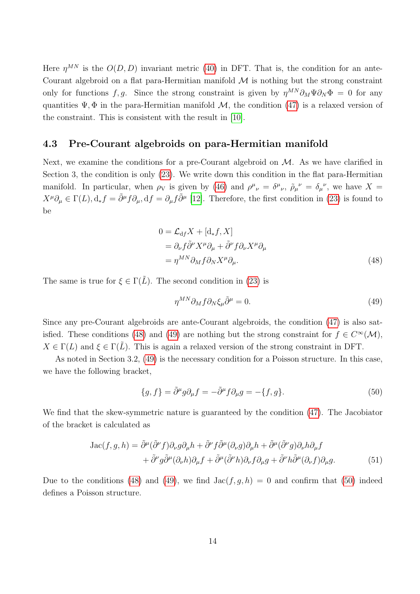Here  $\eta^{MN}$  is the  $O(D, D)$  invariant metric [\(40\)](#page-12-0) in DFT. That is, the condition for an ante-Courant algebroid on a flat para-Hermitian manifold  $\mathcal M$  is nothing but the strong constraint only for functions f, g. Since the strong constraint is given by  $\eta^{MN}\partial_M\Psi\partial_N\Phi = 0$  for any quantities  $\Psi$ ,  $\Phi$  in the para-Hermitian manifold  $\mathcal{M}$ , the condition [\(47\)](#page-13-3) is a relaxed version of the constraint. This is consistent with the result in [\[10\]](#page-23-3).

#### 4.3 Pre-Courant algebroids on para-Hermitian manifold

Next, we examine the conditions for a pre-Courant algebroid on  $M$ . As we have clarified in Section 3, the condition is only [\(23\)](#page-8-1). We write down this condition in the flat para-Hermitian manifold. In particular, when  $\rho_V$  is given by [\(46\)](#page-13-4) and  $\rho^{\mu}{}_{\nu} = \delta^{\mu}{}_{\nu}$ ,  $\rho_{\mu}{}^{\nu} = \delta_{\mu}{}^{\nu}$ , we have  $X =$  $X^{\mu}\partial_{\mu} \in \Gamma(L), d_{*}f = \tilde{\partial}^{\mu}f\partial_{\mu}, df = \partial_{\mu}f\tilde{\partial}^{\mu}$  [\[12\]](#page-23-5). Therefore, the first condition in [\(23\)](#page-8-1) is found to be

$$
0 = \mathcal{L}_{df} X + [d_* f, X]
$$
  
=  $\partial_{\nu} f \tilde{\partial}^{\nu} X^{\mu} \partial_{\mu} + \tilde{\partial}^{\nu} f \partial_{\nu} X^{\mu} \partial_{\mu}$   
=  $\eta^{MN} \partial_M f \partial_N X^{\mu} \partial_{\mu}.$  (48)

The same is true for  $\xi \in \Gamma(\tilde{L})$ . The second condition in [\(23\)](#page-8-1) is

<span id="page-14-2"></span><span id="page-14-1"></span><span id="page-14-0"></span>
$$
\eta^{MN}\partial_M f \partial_N \xi_\mu \tilde{\partial}^\mu = 0. \tag{49}
$$

Since any pre-Courant algebroids are ante-Courant algebroids, the condition [\(47\)](#page-13-3) is also sat-isfied. These conditions [\(48\)](#page-14-0) and [\(49\)](#page-14-1) are nothing but the strong constraint for  $f \in C^{\infty}(\mathcal{M})$ ,  $X \in \Gamma(L)$  and  $\xi \in \Gamma(\overline{L})$ . This is again a relaxed version of the strong constraint in DFT.

As noted in Section 3.2, [\(49\)](#page-14-1) is the necessary condition for a Poisson structure. In this case, we have the following bracket,

$$
\{g, f\} = \tilde{\partial}^{\mu}g\partial_{\mu}f = -\tilde{\partial}^{\mu}f\partial_{\mu}g = -\{f, g\}.
$$
\n(50)

We find that the skew-symmetric nature is guaranteed by the condition [\(47\)](#page-13-3). The Jacobiator of the bracket is calculated as

$$
Jac(f, g, h) = \tilde{\partial}^{\mu}(\tilde{\partial}^{\nu} f)\partial_{\nu}g\partial_{\mu}h + \tilde{\partial}^{\nu}f\tilde{\partial}^{\mu}(\partial_{\nu}g)\partial_{\mu}h + \tilde{\partial}^{\mu}(\tilde{\partial}^{\nu}g)\partial_{\nu}h\partial_{\mu}f + \tilde{\partial}^{\nu}g\tilde{\partial}^{\mu}(\partial_{\nu}h)\partial_{\mu}f + \tilde{\partial}^{\mu}(\tilde{\partial}^{\nu}h)\partial_{\nu}f\partial_{\mu}g + \tilde{\partial}^{\nu}h\tilde{\partial}^{\mu}(\partial_{\nu}f)\partial_{\mu}g.
$$
(51)

Due to the conditions [\(48\)](#page-14-0) and [\(49\)](#page-14-1), we find  $Jac(f, g, h) = 0$  and confirm that [\(50\)](#page-14-2) indeed defines a Poisson structure.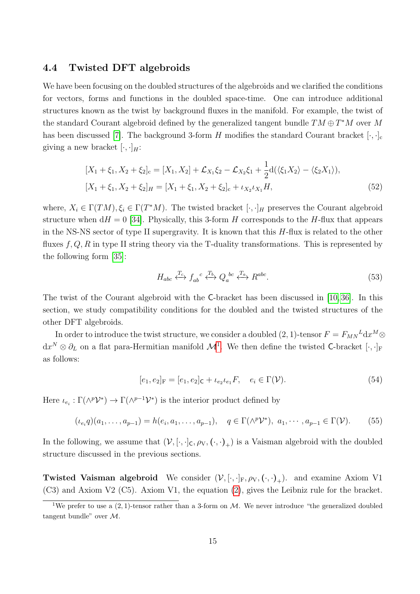#### 4.4 Twisted DFT algebroids

We have been focusing on the doubled structures of the algebroids and we clarified the conditions for vectors, forms and functions in the doubled space-time. One can introduce additional structures known as the twist by background fluxes in the manifold. For example, the twist of the standard Courant algebroid defined by the generalized tangent bundle  $TM \oplus T^*M$  over M has been discussed [\[7\]](#page-23-0). The background 3-form H modifies the standard Courant bracket  $[\cdot, \cdot]_c$ giving a new bracket  $[\cdot, \cdot]_H$ :

$$
[X_1 + \xi_1, X_2 + \xi_2]_c = [X_1, X_2] + \mathcal{L}_{X_1}\xi_2 - \mathcal{L}_{X_2}\xi_1 + \frac{1}{2}d(\langle \xi_1 X_2 \rangle - \langle \xi_2 X_1 \rangle),
$$
  
\n
$$
[X_1 + \xi_1, X_2 + \xi_2]_H = [X_1 + \xi_1, X_2 + \xi_2]_c + \iota_{X_2}\iota_{X_1}H,
$$
\n(52)

where,  $X_i \in \Gamma(TM)$ ,  $\xi_i \in \Gamma(T^*M)$ . The twisted bracket  $[\cdot, \cdot]_H$  preserves the Courant algebroid structure when  $dH = 0$  [\[34\]](#page-25-0). Physically, this 3-form H corresponds to the H-flux that appears in the NS-NS sector of type II supergravity. It is known that this  $H$ -flux is related to the other fluxes  $f, Q, R$  in type II string theory via the T-duality transformations. This is represented by the following form [\[35\]](#page-25-1):

<span id="page-15-1"></span>
$$
H_{abc} \xleftrightarrow{T_c} f_{ab}^c \xleftrightarrow{T_b} Q_a^b c \xleftrightarrow{T_a} R^{abc}.
$$
\n
$$
(53)
$$

The twist of the Courant algebroid with the C-bracket has been discussed in [\[10,](#page-23-3) [36\]](#page-25-2). In this section, we study compatibility conditions for the doubled and the twisted structures of the other DFT algebroids.

In order to introduce the twist structure, we consider a doubled  $(2, 1)$ -tensor  $F = F_{MN}{}^L \mathrm{d} x^M \otimes$  $dx^N \otimes \partial_L$  on a flat para-Hermitian manifold  $\mathcal{M}^1$  $\mathcal{M}^1$ . We then define the twisted C-bracket  $[\cdot, \cdot]_F$ as follows:

$$
[e_1, e_2]_F = [e_1, e_2]_C + \iota_{e_2}\iota_{e_1} F, \quad e_i \in \Gamma(\mathcal{V}).
$$
\n(54)

Here  $\iota_{e_i} : \Gamma(\wedge^p{\cal V}^*) \to \Gamma(\wedge^{p-1}{\cal V}^*)$  is the interior product defined by

$$
(\iota_{e_i} q)(a_1, \dots, a_{p-1}) = h(e_i, a_1, \dots, a_{p-1}), \quad q \in \Gamma(\wedge^p \mathcal{V}^*), \ a_1, \dots, a_{p-1} \in \Gamma(\mathcal{V}).
$$
 (55)

In the following, we assume that  $(\mathcal{V}, [\cdot,\cdot]_{\mathsf{C}}, \rho_{\mathsf{V}}, (\cdot,\cdot)_{+})$  is a Vaisman algebroid with the doubled structure discussed in the previous sections.

**Twisted Vaisman algebroid** We consider  $(\mathcal{V}, [\cdot, \cdot]_F, \rho_V, (\cdot, \cdot)_+)$ . and examine Axiom V1 (C3) and Axiom V2 (C5). Axiom V1, the equation [\(2\)](#page-3-0), gives the Leibniz rule for the bracket.

<span id="page-15-0"></span><sup>&</sup>lt;sup>1</sup>We prefer to use a  $(2, 1)$ -tensor rather than a 3-form on M. We never introduce "the generalized doubled" tangent bundle" over M.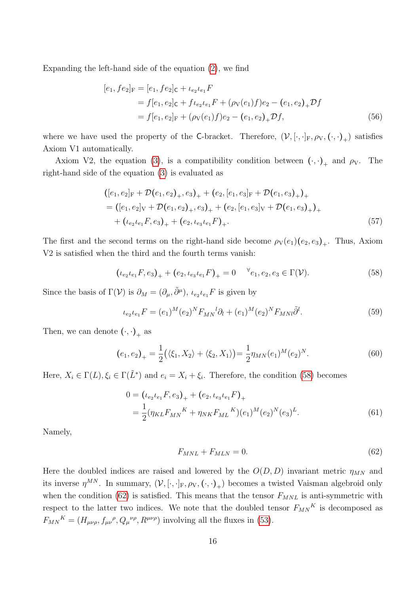Expanding the left-hand side of the equation [\(2\)](#page-3-0), we find

$$
[e_1, fe_2]_F = [e_1, fe_2]_C + \iota_{e_2}\iota_{e_1}F
$$
  
=  $f[e_1, e_2]_C + f\iota_{e_2}\iota_{e_1}F + (\rho_V(e_1)f)e_2 - (e_1, e_2)_+ \mathcal{D}f$   
=  $f[e_1, e_2]_F + (\rho_V(e_1)f)e_2 - (e_1, e_2)_+ \mathcal{D}f,$  (56)

where we have used the property of the C-bracket. Therefore,  $(\mathcal{V}, [\cdot,\cdot]_F, \rho_V, (\cdot,\cdot)_+)$  satisfies Axiom V1 automatically.

Axiom V2, the equation [\(3\)](#page-3-2), is a compatibility condition between  $(\cdot, \cdot)_+$  and  $\rho_V$ . The right-hand side of the equation [\(3\)](#page-3-2) is evaluated as

$$
([e_1, e_2]_F + \mathcal{D}(e_1, e_2)_+, e_3)_+ + (e_2, [e_1, e_3]_F + \mathcal{D}(e_1, e_3)_+)_+ = ([e_1, e_2]_V + \mathcal{D}(e_1, e_2)_+, e_3)_+ + (e_2, [e_1, e_3]_V + \mathcal{D}(e_1, e_3)_+)_+ + (e_2 e_1 F, e_3)_+ + (e_2, e_3 e_1 F)_+.
$$
\n(57)

The first and the second terms on the right-hand side become  $\rho_V(e_1)(e_2, e_3)_+$ . Thus, Axiom V2 is satisfied when the third and the fourth terms vanish:

$$
(\iota_{e_2}\iota_{e_1}F, e_3)_+ + (\iota_{e_2}\iota_{e_3}\iota_{e_1}F)_+ = 0 \quad \forall e_1, e_2, e_3 \in \Gamma(\mathcal{V}). \tag{58}
$$

Since the basis of  $\Gamma(\mathcal{V})$  is  $\partial_M = (\partial_\mu, \tilde{\partial}^\mu)$ ,  $\iota_{e_2} \iota_{e_1} F$  is given by

<span id="page-16-0"></span>
$$
\iota_{e_2}\iota_{e_1}F = (e_1)^M (e_2)^N F_{MN}{}^l \partial_l + (e_1)^M (e_2)^N F_{MNl} \tilde{\partial}^l. \tag{59}
$$

Then, we can denote  $(\cdot, \cdot)_{+}$  as

$$
(e_1, e_2)_+ = \frac{1}{2} (\langle \xi_1, X_2 \rangle + \langle \xi_2, X_1 \rangle) = \frac{1}{2} \eta_{MN} (e_1)^M (e_2)^N.
$$
 (60)

Here,  $X_i \in \Gamma(L)$ ,  $\xi_i \in \Gamma(\tilde{L}^*)$  and  $e_i = X_i + \xi_i$ . Therefore, the condition [\(58\)](#page-16-0) becomes

$$
0 = (\iota_{e_2}\iota_{e_1}F, e_3)_+ + (e_2, \iota_{e_3}\iota_{e_1}F)_+
$$
  
=  $\frac{1}{2}(\eta_{KL}F_{MN}^{\qquad K} + \eta_{NK}F_{ML}^{\qquad K})(e_1)^M(e_2)^N(e_3)^L.$  (61)

Namely,

<span id="page-16-1"></span>
$$
F_{MNL} + F_{MLN} = 0.\t\t(62)
$$

Here the doubled indices are raised and lowered by the  $O(D, D)$  invariant metric  $\eta_{MN}$  and its inverse  $\eta^{MN}$ . In summary,  $(\mathcal{V}, [\cdot,\cdot]_F, \rho_V, (\cdot,\cdot)_+)$  becomes a twisted Vaisman algebroid only when the condition [\(62\)](#page-16-1) is satisfied. This means that the tensor  $F_{MNL}$  is anti-symmetric with respect to the latter two indices. We note that the doubled tensor  $F_{MN}^{\ \ K}$  is decomposed as  $F_{MN}{}^{K} = (H_{\mu\nu\rho}, f_{\mu\nu}{}^{\rho}, Q_{\mu}{}^{\nu\rho}, R^{\mu\nu\rho})$  involving all the fluxes in [\(53\)](#page-15-1).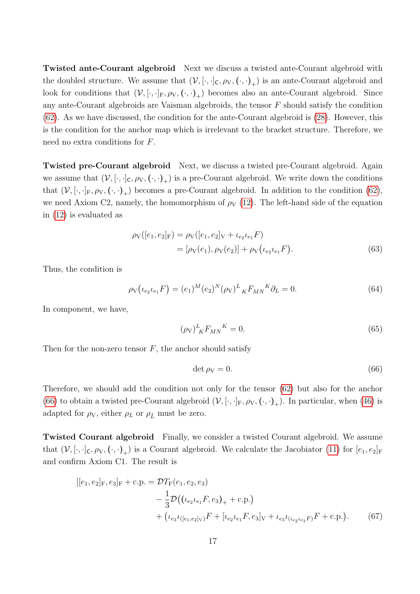Twisted ante-Courant algebroid Next we discuss a twisted ante-Courant algebroid with the doubled structure. We assume that  $(\mathcal{V}, [\cdot,\cdot]_{\mathsf{C}}, \rho_{\mathsf{V}}, (\cdot,\cdot)_{+})$  is an ante-Courant algebroid and look for conditions that  $(V, [\cdot, \cdot]_F, \rho_V, (\cdot, \cdot)_+)$  becomes also an ante-Courant algebroid. Since any ante-Courant algebroids are Vaisman algebroids, the tensor F should satisfy the condition [\(62\)](#page-16-1). As we have discussed, the condition for the ante-Courant algebroid is [\(28\)](#page-9-2). However, this is the condition for the anchor map which is irrelevant to the bracket structure. Therefore, we need no extra conditions for F.

Twisted pre-Courant algebroid Next, we discuss a twisted pre-Courant algebroid. Again we assume that  $(V, [\cdot, \cdot]_C, \rho_V, (\cdot, \cdot)_+)$  is a pre-Courant algebroid. We write down the conditions that  $(V, [\cdot, \cdot]_F, \rho_V, (\cdot, \cdot)_+)$  becomes a pre-Courant algebroid. In addition to the condition [\(62\)](#page-16-1), we need Axiom C2, namely, the homomorphism of  $\rho_V$  [\(12\)](#page-5-1). The left-hand side of the equation in [\(12\)](#page-5-1) is evaluated as

$$
\rho_V([e_1, e_2]_F) = \rho_V([e_1, e_2]_V + \iota_{e_2}\iota_{e_1} F)
$$
  
=  $[\rho_V(e_1), \rho_V(e_2)] + \rho_V(\iota_{e_2}\iota_{e_1} F).$  (63)

Thus, the condition is

$$
\rho_V(\iota_{e_2}\iota_{e_1}F) = (e_1)^M (e_2)^N (\rho_V)^L{}_K F_{MN}^K \partial_L = 0.
$$
\n(64)

In component, we have,

$$
(\rho_V)^L_K F_{MN}{}^K = 0. \tag{65}
$$

Then for the non-zero tensor  $F$ , the anchor should satisfy

<span id="page-17-0"></span>
$$
\det \rho_{\rm V} = 0. \tag{66}
$$

Therefore, we should add the condition not only for the tensor [\(62\)](#page-16-1) but also for the anchor [\(66\)](#page-17-0) to obtain a twisted pre-Courant algebroid  $(V, [\cdot, \cdot]_F, \rho_V, (\cdot, \cdot)_+)$ . In particular, when [\(46\)](#page-13-4) is adapted for  $\rho_V$ , either  $\rho_L$  or  $\rho_{\tilde{L}}$  must be zero.

Twisted Courant algebroid Finally, we consider a twisted Courant algebroid. We assume that  $(V, [\cdot, \cdot]_C, \rho_V, (\cdot, \cdot)_+)$  is a Courant algebroid. We calculate the Jacobiator [\(11\)](#page-5-2) for  $[e_1, e_2]_F$ and confirm Axiom C1. The result is

$$
[[e_1, e_2]_F, e_3]_F + c.p. = \mathcal{D}T_F(e_1, e_2, e_3)
$$
  

$$
- \frac{1}{3} \mathcal{D}((\iota_{e_2} \iota_{e_1} F, e_3)_+ + c.p.)
$$
  

$$
+ (\iota_{e_3} \iota_{([e_1, e_2]_V)} F + [\iota_{e_2} \iota_{e_1} F, e_3]_V + \iota_{e_3} \iota_{(\iota_{e_2} \iota_{e_1} F)} F + c.p.).
$$
 (67)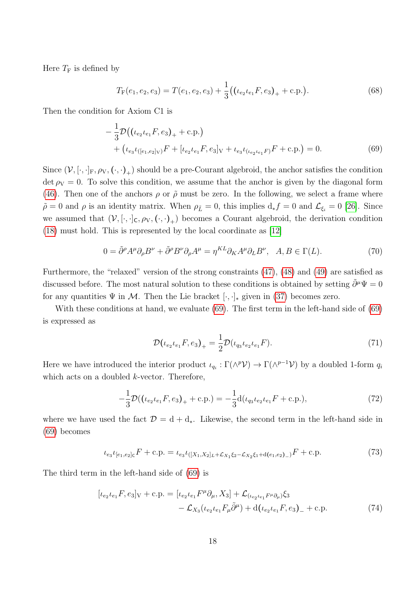Here  $T_F$  is defined by

<span id="page-18-0"></span>
$$
T_{\rm F}(e_1, e_2, e_3) = T(e_1, e_2, e_3) + \frac{1}{3} ((\iota_{e_2} \iota_{e_1} F, e_3)_+ + \text{c.p.}). \tag{68}
$$

Then the condition for Axiom C1 is

$$
-\frac{1}{3}\mathcal{D}((\iota_{e_2}\iota_{e_1}F, e_3)_+ + \text{c.p.})
$$
  
+  $(\iota_{e_3}\iota_{([e_1, e_2]_V)}F + [\iota_{e_2}\iota_{e_1}F, e_3]_V + \iota_{e_3}\iota_{(\iota_{e_2}\iota_{e_1}F)}F + \text{c.p.}) = 0.$  (69)

Since  $(\mathcal{V}, [\cdot,\cdot]_F, \rho_V, (\cdot,\cdot)_+)$  should be a pre-Courant algebroid, the anchor satisfies the condition det  $\rho_V = 0$ . To solve this condition, we assume that the anchor is given by the diagonal form [\(46\)](#page-13-4). Then one of the anchors  $\rho$  or  $\tilde{\rho}$  must be zero. In the following, we select a frame where  $\tilde{\rho} = 0$  and  $\rho$  is an identity matrix. When  $\rho_{\tilde{L}} = 0$ , this implies  $d_* f = 0$  and  $\mathcal{L}_{\xi_i} = 0$  [\[26\]](#page-24-2). Since we assumed that  $(V, [\cdot, \cdot]_C, \rho_V, (\cdot, \cdot)_+)$  becomes a Courant algebroid, the derivation condition [\(18\)](#page-6-0) must hold. This is represented by the local coordinate as [\[12\]](#page-23-5)

$$
0 = \tilde{\partial}^{\rho} A^{\mu} \partial_{\rho} B^{\nu} + \tilde{\partial}^{\rho} B^{\nu} \partial_{\rho} A^{\mu} = \eta^{KL} \partial_{K} A^{\mu} \partial_{L} B^{\nu}, \quad A, B \in \Gamma(L). \tag{70}
$$

Furthermore, the "relaxed" version of the strong constraints [\(47\)](#page-13-3), [\(48\)](#page-14-0) and [\(49\)](#page-14-1) are satisfied as discussed before. The most natural solution to these conditions is obtained by setting  $\tilde{\partial}^{\mu}\Psi = 0$ for any quantities  $\Psi$  in M. Then the Lie bracket  $[\cdot, \cdot]_*$  given in [\(37\)](#page-12-1) becomes zero.

With these conditions at hand, we evaluate [\(69\)](#page-18-0). The first term in the left-hand side of (69) is expressed as

$$
\mathcal{D}(\iota_{e_2}\iota_{e_1}F, e_3)_+ = \frac{1}{2}\mathcal{D}(\iota_{q_3}\iota_{e_2}\iota_{e_1}F). \tag{71}
$$

Here we have introduced the interior product  $\iota_{q_i} : \Gamma(\wedge^p{\cal V}) \to \Gamma(\wedge^{p-1}{\cal V})$  by a doubled 1-form  $q_i$ which acts on a doubled *k*-vector. Therefore,

$$
-\frac{1}{3}\mathcal{D}((\iota_{e_2}\iota_{e_1}F, e_3)_+ + \text{c.p.}) = -\frac{1}{3}\text{d}(\iota_{q_3}\iota_{e_2}\iota_{e_1}F + \text{c.p.}),\tag{72}
$$

where we have used the fact  $\mathcal{D} = d + d_*$ . Likewise, the second term in the left-hand side in [\(69\)](#page-18-0) becomes

$$
\iota_{e_3}\iota_{[e_1,e_2]_C}F + c.p. = \iota_{e_3}\iota_{([X_1,X_2]_L + \mathcal{L}_{X_1}\xi_2 - \mathcal{L}_{X_2}\xi_1 + d(e_1,e_2)_-)}F + c.p.
$$
\n(73)

The third term in the left-hand side of [\(69\)](#page-18-0) is

$$
[\iota_{e_2}\iota_{e_1}F, e_3]_V + c.p. = [\iota_{e_2}\iota_{e_1}F^\mu\partial_\mu, X_3] + \mathcal{L}_{(\iota_{e_2}\iota_{e_1}F^\mu\partial_\mu)}\xi_3 -\mathcal{L}_{X_3}(\iota_{e_2}\iota_{e_1}F_\mu\tilde{\partial}^\mu) + d(\iota_{e_2}\iota_{e_1}F, e_3)_{-} + c.p.
$$
\n(74)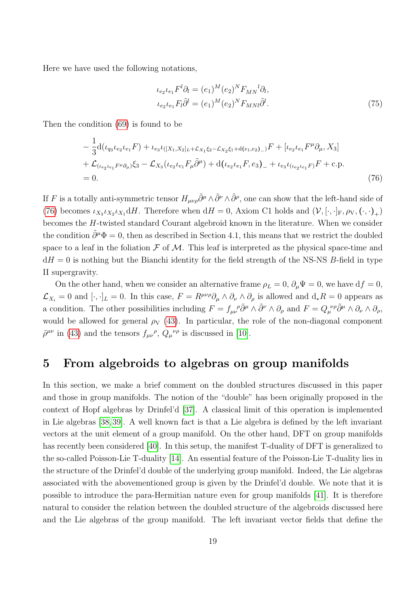Here we have used the following notations,

<span id="page-19-1"></span>
$$
\iota_{e_2}\iota_{e_1}F^l\partial_l = (e_1)^M (e_2)^N F_{MN}{}^l\partial_l,
$$
  
\n
$$
\iota_{e_2}\iota_{e_1}F_l\tilde{\partial}^l = (e_1)^M (e_2)^N F_{MNl}\tilde{\partial}^l.
$$
\n(75)

Then the condition [\(69\)](#page-18-0) is found to be

$$
-\frac{1}{3}\mathrm{d}(\iota_{q_{3}}\iota_{e_{2}}\iota_{e_{1}}F) + \iota_{e_{3}}\iota_{([X_{1},X_{2}]_{L} + \mathcal{L}_{X_{1}}\xi_{2} - \mathcal{L}_{X_{2}}\xi_{1} + \mathrm{d}(\iota_{e_{1},e_{2})})F + [\iota_{e_{2}}\iota_{e_{1}}F^{\mu}\partial_{\mu}, X_{3}] + \mathcal{L}_{(\iota_{e_{2}}\iota_{e_{1}}F^{\mu}\partial_{\mu})}\xi_{3} - \mathcal{L}_{X_{3}}(\iota_{e_{2}}\iota_{e_{1}}F_{\mu}\tilde{\partial}^{\mu}) + \mathrm{d}(\iota_{e_{2}}\iota_{e_{1}}F, e_{3})_{-} + \iota_{e_{3}}\iota_{(\iota_{e_{2}}\iota_{e_{1}}F)}F + \mathrm{c.p.} = 0.
$$
\n(76)

If F is a totally anti-symmetric tensor  $H_{\mu\nu\rho}\tilde{\partial}^{\mu}\wedge \tilde{\partial}^{\nu}\wedge \tilde{\partial}^{\rho}$ , one can show that the left-hand side of [\(76\)](#page-19-1) becomes  $\iota_{X_3}\iota_{X_2}\iota_{X_1} dH$ . Therefore when  $dH = 0$ , Axiom C1 holds and  $(\mathcal{V}, [\cdot, \cdot]_F, \rho_V, (\cdot, \cdot)_+)$ becomes the H-twisted standard Courant algebroid known in the literature. When we consider the condition  $\tilde{\partial}^{\mu}\Phi = 0$ , then as described in Section 4.1, this means that we restrict the doubled space to a leaf in the foliation  $\mathcal F$  of  $\mathcal M$ . This leaf is interpreted as the physical space-time and  $dH = 0$  is nothing but the Bianchi identity for the field strength of the NS-NS B-field in type II supergravity.

On the other hand, when we consider an alternative frame  $\rho_L = 0$ ,  $\partial_\mu \Psi = 0$ , we have  $df = 0$ ,  $\mathcal{L}_{X_i} = 0$  and  $[\cdot, \cdot]_L = 0$ . In this case,  $F = R^{\mu\nu\rho}\partial_\mu \wedge \partial_\nu \wedge \partial_\rho$  is allowed and  $d_*R = 0$  appears as a condition. The other possibilities including  $F = f_{\mu\nu}^{\ \ \rho} \tilde{\partial}^{\mu} \wedge \tilde{\partial}^{\nu} \wedge \partial_{\rho}$  and  $F = Q_{\mu}^{\ \ \nu\rho} \tilde{\partial}^{\mu} \wedge \partial_{\nu} \wedge \partial_{\rho}$ would be allowed for general  $\rho_V$  [\(43\)](#page-13-1). In particular, the role of the non-diagonal component  $\tilde{\rho}^{\mu\nu}$  in [\(43\)](#page-13-1) and the tensors  $f_{\mu\nu}{}^{\rho}$ ,  $Q_{\mu}{}^{\nu\rho}$  is discussed in [\[10\]](#page-23-3).

## <span id="page-19-0"></span>5 From algebroids to algebras on group manifolds

In this section, we make a brief comment on the doubled structures discussed in this paper and those in group manifolds. The notion of the "double" has been originally proposed in the context of Hopf algebras by Drinfel'd [\[37\]](#page-25-3). A classical limit of this operation is implemented in Lie algebras [\[38,](#page-25-4) [39\]](#page-25-5). A well known fact is that a Lie algebra is defined by the left invariant vectors at the unit element of a group manifold. On the other hand, DFT on group manifolds has recently been considered [\[40\]](#page-25-6). In this setup, the manifest T-duality of DFT is generalized to the so-called Poisson-Lie T-duality [\[14\]](#page-23-11). An essential feature of the Poisson-Lie T-duality lies in the structure of the Drinfel'd double of the underlying group manifold. Indeed, the Lie algebras associated with the abovementioned group is given by the Drinfel'd double. We note that it is possible to introduce the para-Hermitian nature even for group manifolds [\[41\]](#page-25-7). It is therefore natural to consider the relation between the doubled structure of the algebroids discussed here and the Lie algebras of the group manifold. The left invariant vector fields that define the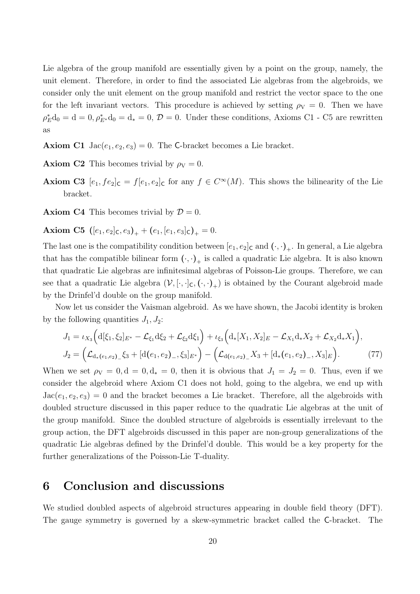Lie algebra of the group manifold are essentially given by a point on the group, namely, the unit element. Therefore, in order to find the associated Lie algebras from the algebroids, we consider only the unit element on the group manifold and restrict the vector space to the one for the left invariant vectors. This procedure is achieved by setting  $\rho_V = 0$ . Then we have  $\rho_E^* d_0 = d = 0, \rho_{E^*}^* d_0 = d_* = 0, \mathcal{D} = 0.$  Under these conditions, Axioms C1 - C5 are rewritten as

**Axiom C1** Jac $(e_1, e_2, e_3) = 0$ . The C-bracket becomes a Lie bracket.

**Axiom C2** This becomes trivial by  $\rho_V = 0$ .

**Axiom C3**  $[e_1, fe_2]_C = f[e_1, e_2]_C$  for any  $f \in C^{\infty}(M)$ . This shows the bilinearity of the Lie bracket.

**Axiom C4** This becomes trivial by  $\mathcal{D} = 0$ .

Axiom C5  $([e_1, e_2]_C, e_3)_+ + (e_1, [e_1, e_3]_C)_+ = 0.$ 

The last one is the compatibility condition between  $[e_1, e_2]_C$  and  $(\cdot, \cdot)_+$ . In general, a Lie algebra that has the compatible bilinear form  $(\cdot, \cdot)_+$  is called a quadratic Lie algebra. It is also known that quadratic Lie algebras are infinitesimal algebras of Poisson-Lie groups. Therefore, we can see that a quadratic Lie algebra  $(\mathcal{V}, [\cdot, \cdot]_{\mathsf{C}}, (\cdot, \cdot)_{+})$  is obtained by the Courant algebroid made by the Drinfel'd double on the group manifold.

Now let us consider the Vaisman algebroid. As we have shown, the Jacobi identity is broken by the following quantities  $J_1, J_2$ :

$$
J_1 = \iota_{X_3} \Big( d[\xi_1, \xi_2]_{E^*} - \mathcal{L}_{\xi_1} d\xi_2 + \mathcal{L}_{\xi_2} d\xi_1 \Big) + \iota_{\xi_3} \Big( d_* [X_1, X_2]_E - \mathcal{L}_{X_1} d_* X_2 + \mathcal{L}_{X_2} d_* X_1 \Big),
$$
  

$$
J_2 = \Big( \mathcal{L}_{d_*\left(e_1, e_2\right)_-} \xi_3 + [d(e_1, e_2)_-, \xi_3]_{E^*} \Big) - \Big( \mathcal{L}_{d(e_1, e_2)_-} X_3 + [d_*\left(e_1, e_2\right)_-, X_3]_E \Big).
$$
 (77)

When we set  $\rho_V = 0, d = 0, d_* = 0$ , then it is obvious that  $J_1 = J_2 = 0$ . Thus, even if we consider the algebroid where Axiom C1 does not hold, going to the algebra, we end up with  $Jac(e_1, e_2, e_3) = 0$  and the bracket becomes a Lie bracket. Therefore, all the algebroids with doubled structure discussed in this paper reduce to the quadratic Lie algebras at the unit of the group manifold. Since the doubled structure of algebroids is essentially irrelevant to the group action, the DFT algebroids discussed in this paper are non-group generalizations of the quadratic Lie algebras defined by the Drinfel'd double. This would be a key property for the further generalizations of the Poisson-Lie T-duality.

### <span id="page-20-0"></span>6 Conclusion and discussions

We studied doubled aspects of algebroid structures appearing in double field theory (DFT). The gauge symmetry is governed by a skew-symmetric bracket called the C-bracket. The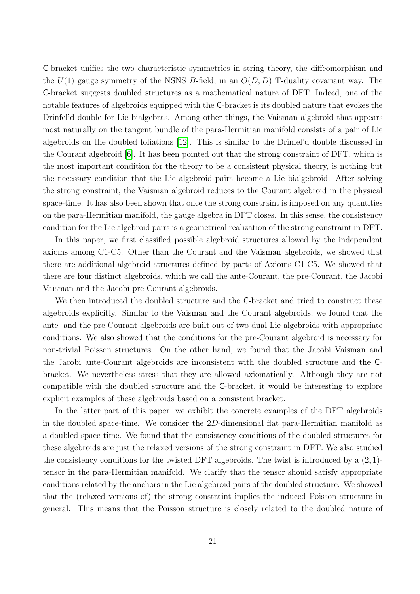C-bracket unifies the two characteristic symmetries in string theory, the diffeomorphism and the  $U(1)$  gauge symmetry of the NSNS B-field, in an  $O(D, D)$  T-duality covariant way. The C-bracket suggests doubled structures as a mathematical nature of DFT. Indeed, one of the notable features of algebroids equipped with the C-bracket is its doubled nature that evokes the Drinfel'd double for Lie bialgebras. Among other things, the Vaisman algebroid that appears most naturally on the tangent bundle of the para-Hermitian manifold consists of a pair of Lie algebroids on the doubled foliations [\[12\]](#page-23-5). This is similar to the Drinfel'd double discussed in the Courant algebroid [\[6\]](#page-22-5). It has been pointed out that the strong constraint of DFT, which is the most important condition for the theory to be a consistent physical theory, is nothing but the necessary condition that the Lie algebroid pairs become a Lie bialgebroid. After solving the strong constraint, the Vaisman algebroid reduces to the Courant algebroid in the physical space-time. It has also been shown that once the strong constraint is imposed on any quantities on the para-Hermitian manifold, the gauge algebra in DFT closes. In this sense, the consistency condition for the Lie algebroid pairs is a geometrical realization of the strong constraint in DFT.

In this paper, we first classified possible algebroid structures allowed by the independent axioms among C1-C5. Other than the Courant and the Vaisman algebroids, we showed that there are additional algebroid structures defined by parts of Axioms C1-C5. We showed that there are four distinct algebroids, which we call the ante-Courant, the pre-Courant, the Jacobi Vaisman and the Jacobi pre-Courant algebroids.

We then introduced the doubled structure and the C-bracket and tried to construct these algebroids explicitly. Similar to the Vaisman and the Courant algebroids, we found that the ante- and the pre-Courant algebroids are built out of two dual Lie algebroids with appropriate conditions. We also showed that the conditions for the pre-Courant algebroid is necessary for non-trivial Poisson structures. On the other hand, we found that the Jacobi Vaisman and the Jacobi ante-Courant algebroids are inconsistent with the doubled structure and the Cbracket. We nevertheless stress that they are allowed axiomatically. Although they are not compatible with the doubled structure and the C-bracket, it would be interesting to explore explicit examples of these algebroids based on a consistent bracket.

In the latter part of this paper, we exhibit the concrete examples of the DFT algebroids in the doubled space-time. We consider the  $2D$ -dimensional flat para-Hermitian manifold as a doubled space-time. We found that the consistency conditions of the doubled structures for these algebroids are just the relaxed versions of the strong constraint in DFT. We also studied the consistency conditions for the twisted DFT algebroids. The twist is introduced by a (2, 1) tensor in the para-Hermitian manifold. We clarify that the tensor should satisfy appropriate conditions related by the anchors in the Lie algebroid pairs of the doubled structure. We showed that the (relaxed versions of) the strong constraint implies the induced Poisson structure in general. This means that the Poisson structure is closely related to the doubled nature of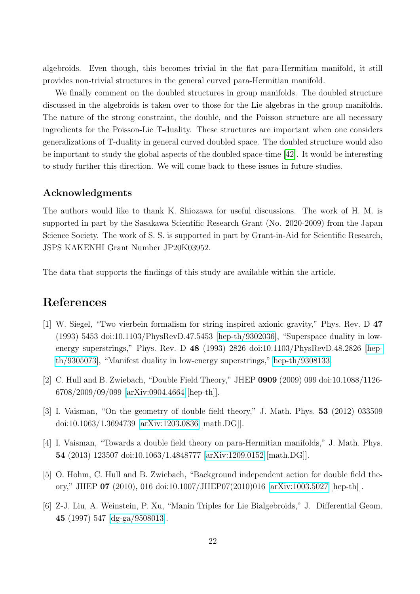algebroids. Even though, this becomes trivial in the flat para-Hermitian manifold, it still provides non-trivial structures in the general curved para-Hermitian manifold.

We finally comment on the doubled structures in group manifolds. The doubled structure discussed in the algebroids is taken over to those for the Lie algebras in the group manifolds. The nature of the strong constraint, the double, and the Poisson structure are all necessary ingredients for the Poisson-Lie T-duality. These structures are important when one considers generalizations of T-duality in general curved doubled space. The doubled structure would also be important to study the global aspects of the doubled space-time [\[42\]](#page-25-8). It would be interesting to study further this direction. We will come back to these issues in future studies.

### Acknowledgments

The authors would like to thank K. Shiozawa for useful discussions. The work of H. M. is supported in part by the Sasakawa Scientific Research Grant (No. 2020-2009) from the Japan Science Society. The work of S. S. is supported in part by Grant-in-Aid for Scientific Research, JSPS KAKENHI Grant Number JP20K03952.

The data that supports the findings of this study are available within the article.

## References

- <span id="page-22-0"></span>[1] W. Siegel, "Two vierbein formalism for string inspired axionic gravity," Phys. Rev. D 47 (1993) 5453 doi:10.1103/PhysRevD.47.5453 [\[hep-th/9302036\]](http://arxiv.org/abs/hep-th/9302036), "Superspace duality in lowenergy superstrings," Phys. Rev. D 48 (1993) 2826 doi:10.1103/PhysRevD.48.2826 [\[hep](http://arxiv.org/abs/hep-th/9305073)[th/9305073\]](http://arxiv.org/abs/hep-th/9305073), "Manifest duality in low-energy superstrings," [hep-th/9308133.](http://arxiv.org/abs/hep-th/9308133)
- <span id="page-22-1"></span>[2] C. Hull and B. Zwiebach, "Double Field Theory," JHEP 0909 (2009) 099 doi:10.1088/1126- 6708/2009/09/099 [\[arXiv:0904.4664](http://arxiv.org/abs/0904.4664) [hep-th]].
- <span id="page-22-2"></span>[3] I. Vaisman, "On the geometry of double field theory," J. Math. Phys. 53 (2012) 033509 doi:10.1063/1.3694739 [\[arXiv:1203.0836](http://arxiv.org/abs/1203.0836) [math.DG]].
- <span id="page-22-3"></span>[4] I. Vaisman, "Towards a double field theory on para-Hermitian manifolds," J. Math. Phys. 54 (2013) 123507 doi:10.1063/1.4848777 [\[arXiv:1209.0152](http://arxiv.org/abs/1209.0152) [math.DG]].
- <span id="page-22-4"></span>[5] O. Hohm, C. Hull and B. Zwiebach, "Background independent action for double field theory," JHEP 07 (2010), 016 doi:10.1007/JHEP07(2010)016 [\[arXiv:1003.5027](http://arxiv.org/abs/1003.5027) [hep-th]].
- <span id="page-22-5"></span>[6] Z-J. Liu, A. Weinstein, P. Xu, "Manin Triples for Lie Bialgebroids," J. Differential Geom. 45 (1997) 547 [\[dg-ga/9508013\]](http://arxiv.org/abs/dg-ga/9508013).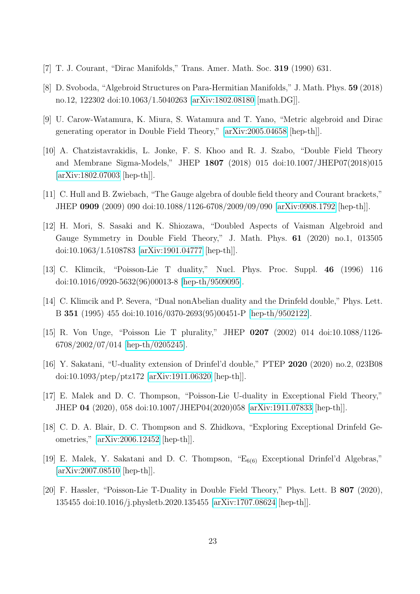- <span id="page-23-0"></span>[7] T. J. Courant, "Dirac Manifolds," Trans. Amer. Math. Soc. 319 (1990) 631.
- <span id="page-23-1"></span>[8] D. Svoboda, "Algebroid Structures on Para-Hermitian Manifolds," J. Math. Phys. 59 (2018) no.12, 122302 doi:10.1063/1.5040263 [\[arXiv:1802.08180](http://arxiv.org/abs/1802.08180) [math.DG]].
- <span id="page-23-2"></span>[9] U. Carow-Watamura, K. Miura, S. Watamura and T. Yano, "Metric algebroid and Dirac generating operator in Double Field Theory," [\[arXiv:2005.04658](http://arxiv.org/abs/2005.04658) [hep-th]].
- <span id="page-23-3"></span>[10] A. Chatzistavrakidis, L. Jonke, F. S. Khoo and R. J. Szabo, "Double Field Theory and Membrane Sigma-Models," JHEP 1807 (2018) 015 doi:10.1007/JHEP07(2018)015 [\[arXiv:1802.07003](http://arxiv.org/abs/1802.07003) [hep-th]].
- <span id="page-23-4"></span>[11] C. Hull and B. Zwiebach, "The Gauge algebra of double field theory and Courant brackets," JHEP 0909 (2009) 090 doi:10.1088/1126-6708/2009/09/090 [\[arXiv:0908.1792](http://arxiv.org/abs/0908.1792) [hep-th]].
- <span id="page-23-5"></span>[12] H. Mori, S. Sasaki and K. Shiozawa, "Doubled Aspects of Vaisman Algebroid and Gauge Symmetry in Double Field Theory," J. Math. Phys. 61 (2020) no.1, 013505 doi:10.1063/1.5108783 [\[arXiv:1901.04777](http://arxiv.org/abs/1901.04777) [hep-th]].
- <span id="page-23-6"></span>[13] C. Klimcik, "Poisson-Lie T duality," Nucl. Phys. Proc. Suppl. 46 (1996) 116 doi:10.1016/0920-5632(96)00013-8 [\[hep-th/9509095\]](http://arxiv.org/abs/hep-th/9509095).
- <span id="page-23-11"></span>[14] C. Klimcik and P. Severa, "Dual nonAbelian duality and the Drinfeld double," Phys. Lett. B 351 (1995) 455 doi:10.1016/0370-2693(95)00451-P [\[hep-th/9502122\]](http://arxiv.org/abs/hep-th/9502122).
- <span id="page-23-7"></span>[15] R. Von Unge, "Poisson Lie T plurality," JHEP 0207 (2002) 014 doi:10.1088/1126- 6708/2002/07/014 [\[hep-th/0205245\]](http://arxiv.org/abs/hep-th/0205245).
- <span id="page-23-8"></span>[16] Y. Sakatani, "U-duality extension of Drinfel'd double," PTEP 2020 (2020) no.2, 023B08 doi:10.1093/ptep/ptz172 [\[arXiv:1911.06320](http://arxiv.org/abs/1911.06320) [hep-th]].
- [17] E. Malek and D. C. Thompson, "Poisson-Lie U-duality in Exceptional Field Theory," JHEP 04 (2020), 058 doi:10.1007/JHEP04(2020)058 [\[arXiv:1911.07833](http://arxiv.org/abs/1911.07833) [hep-th]].
- [18] C. D. A. Blair, D. C. Thompson and S. Zhidkova, "Exploring Exceptional Drinfeld Geometries," [\[arXiv:2006.12452](http://arxiv.org/abs/2006.12452) [hep-th]].
- <span id="page-23-9"></span>[19] E. Malek, Y. Sakatani and D. C. Thompson, " $E_{6(6)}$  Exceptional Drinfel'd Algebras," [\[arXiv:2007.08510](http://arxiv.org/abs/2007.08510) [hep-th]].
- <span id="page-23-10"></span>[20] F. Hassler, "Poisson-Lie T-Duality in Double Field Theory," Phys. Lett. B 807 (2020), 135455 doi:10.1016/j.physletb.2020.135455 [\[arXiv:1707.08624](http://arxiv.org/abs/1707.08624) [hep-th]].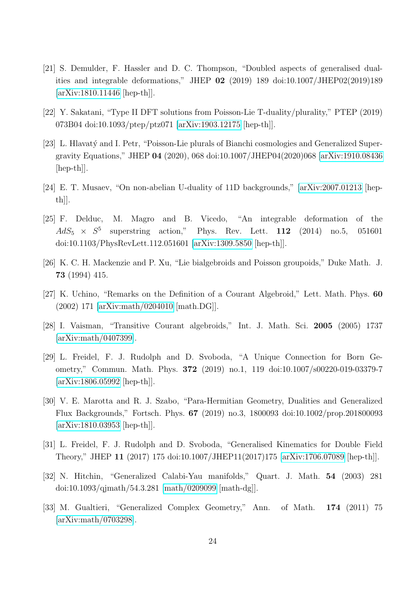- [21] S. Demulder, F. Hassler and D. C. Thompson, "Doubled aspects of generalised dualities and integrable deformations," JHEP 02 (2019) 189 doi:10.1007/JHEP02(2019)189 [\[arXiv:1810.11446](http://arxiv.org/abs/1810.11446) [hep-th]].
- [22] Y. Sakatani, "Type II DFT solutions from Poisson-Lie T-duality/plurality," PTEP (2019) 073B04 doi:10.1093/ptep/ptz071 [\[arXiv:1903.12175](http://arxiv.org/abs/1903.12175) [hep-th]].
- [23] L. Hlavat´y and I. Petr, "Poisson-Lie plurals of Bianchi cosmologies and Generalized Supergravity Equations," JHEP 04 (2020), 068 doi:10.1007/JHEP04(2020)068 [\[arXiv:1910.08436](http://arxiv.org/abs/1910.08436) [hep-th]].
- <span id="page-24-0"></span>[24] E. T. Musaev, "On non-abelian U-duality of 11D backgrounds," [\[arXiv:2007.01213](http://arxiv.org/abs/2007.01213) [hep $th$ .
- <span id="page-24-1"></span>[25] F. Delduc, M. Magro and B. Vicedo, "An integrable deformation of the  $AdS_5 \times S^5$ superstring action," Phys. Rev. Lett. 112 (2014) no.5, 051601 doi:10.1103/PhysRevLett.112.051601 [\[arXiv:1309.5850](http://arxiv.org/abs/1309.5850) [hep-th]].
- <span id="page-24-2"></span>[26] K. C. H. Mackenzie and P. Xu, "Lie bialgebroids and Poisson groupoids," Duke Math. J. 73 (1994) 415.
- <span id="page-24-3"></span>[27] K. Uchino, "Remarks on the Definition of a Courant Algebroid," Lett. Math. Phys. 60 (2002) 171 [\[arXiv:math/0204010](http://arxiv.org/abs/math/0204010) [math.DG]].
- <span id="page-24-4"></span>[28] I. Vaisman, "Transitive Courant algebroids," Int. J. Math. Sci. 2005 (2005) 1737 [\[arXiv:math/0407399\]](http://arxiv.org/abs/math/0407399).
- <span id="page-24-5"></span>[29] L. Freidel, F. J. Rudolph and D. Svoboda, "A Unique Connection for Born Geometry," Commun. Math. Phys. 372 (2019) no.1, 119 doi:10.1007/s00220-019-03379-7 [\[arXiv:1806.05992](http://arxiv.org/abs/1806.05992) [hep-th]].
- [30] V. E. Marotta and R. J. Szabo, "Para-Hermitian Geometry, Dualities and Generalized Flux Backgrounds," Fortsch. Phys. 67 (2019) no.3, 1800093 doi:10.1002/prop.201800093 [\[arXiv:1810.03953](http://arxiv.org/abs/1810.03953) [hep-th]].
- <span id="page-24-6"></span>[31] L. Freidel, F. J. Rudolph and D. Svoboda, "Generalised Kinematics for Double Field Theory," JHEP 11 (2017) 175 doi:10.1007/JHEP11(2017)175 [\[arXiv:1706.07089](http://arxiv.org/abs/1706.07089) [hep-th]].
- <span id="page-24-7"></span>[32] N. Hitchin, "Generalized Calabi-Yau manifolds," Quart. J. Math. 54 (2003) 281 doi:10.1093/qjmath/54.3.281 [\[math/0209099](http://arxiv.org/abs/math/0209099) [math-dg]].
- <span id="page-24-8"></span>[33] M. Gualtieri, "Generalized Complex Geometry," Ann. of Math. 174 (2011) 75 [\[arXiv:math/0703298\]](http://arxiv.org/abs/math/0703298).